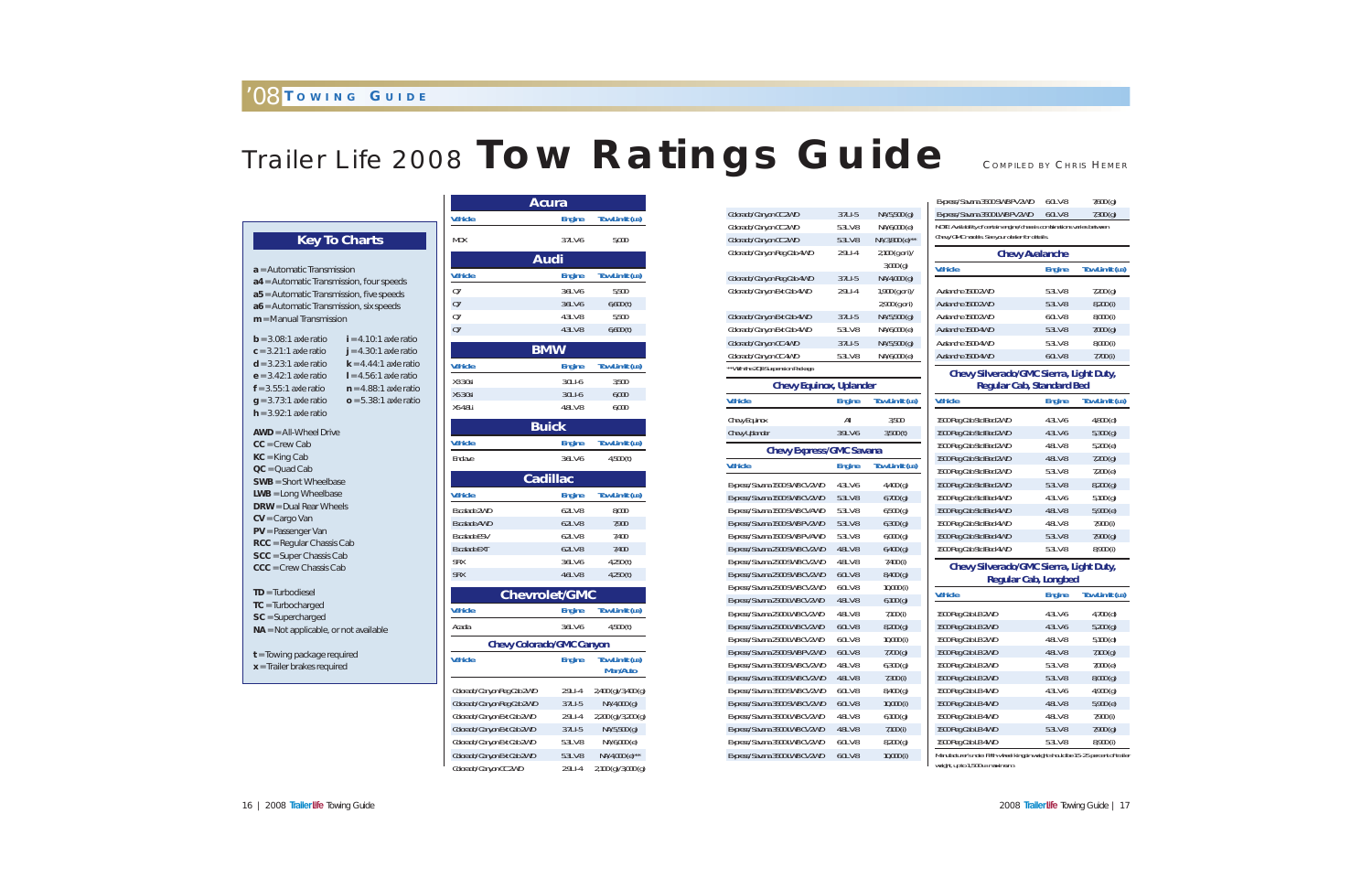# Trailer Life 2008 **Tow Ratings Guide**

|                                    |               |                       | <b>Express/</b>  |
|------------------------------------|---------------|-----------------------|------------------|
| Colorado/Canyon CC 2WD             | $3.7LI-5$     | NA/5,500 (g)          | <b>Express/</b>  |
| Colorado/Canyon CC 2WD             | 5.3LV-8       | NA/6,000 (e)          | NOTE: Avai       |
| Colorado/Canyon CC 2WD             | 5.3LV-8       | NA/3,800 (e)**        | Chevy/GM         |
| Colorado/Canyon Reg Cab 4WD        | 2.9LI-4       | 2,100 (g or i)/       |                  |
|                                    |               | 3,000(g)              | <b>Vehicle</b>   |
| Colorado/Canyon Reg Cab 4WD        | $3.7LI-5$     | NA/4,000 (g)          |                  |
| Colorado/Canyon Ext Cab 4WD        | 2.9LI-4       | 1,900 (g or i)/       | Avalanch         |
|                                    |               | 2,900 (g or i)        | Avalanch         |
| Colorado/Canyon Ext Cab 4WD        | $3.7LI-5$     | NA/5,500 (g)          | Avalanch         |
| Colorado/Canyon Ext Cab 4WD        | 5.3LV-8       | NA/6,000 (e)          | Avalanche        |
| Colorado/Canyon CC 4WD             | $3.7LI-5$     | NA/5,500 (g)          | Avalanch         |
| Colorado/Canyon CC 4WD             | 5.3L V-8      | NA/6,000 (e)          | <b>Avalanche</b> |
| **With the ZQ8 Suspension Package. |               |                       | Ch               |
| <b>Chevy Equinox, Uplander</b>     |               |                       |                  |
| <b>Vehicle</b>                     | <b>Engine</b> | Tow Limit (LB)        | <b>Vehicle</b>   |
| Chevy Equinox                      | All           | 3,500                 | 1500 Reg         |
| <b>Chevy Uplander</b>              | 3.9LV-6       | 3,500(t)              | 1500 Reg         |
| <b>Chevy Express/GMC Savana</b>    |               |                       | 1500 Reg         |
|                                    |               |                       | 1500 Reg         |
| <b>Vehicle</b>                     | <b>Engine</b> | <b>Tow Limit (LB)</b> | 1500 Reg         |
| Express/Savana 1500 SWB CV 2WD     | 4.3LV-6       | $4,400$ (g)           | 1500 Reg         |
| Express/Savana 1500 SWB CV 2WD     | 5.3LV-8       | 6,700(g)              | 1500 Reg         |
| Express/Savana 1500 SWB CV AWD     | 5.3LV-8       | $6,500$ (g)           | 1500 Reg         |
| Express/Savana 1500 SWB PV 2WD     | 5.3LV-8       | 6,300(g)              | 1500 Reg         |
| Express/Savana 1500 SWB PV AWD     | 5.3LV-8       | 6,000(g)              | 1500 Reg         |
| Express/Savana 2500 SWB CV 2WD     | 4.8LV-8       | 6,400(g)              | 1500 Reg         |
| Express/Savana 2500 SWB CV 2WD     | 4.8LV-8       | 7,400 (i)             | Ch               |
| Express/Savana 2500 SWB CV 2WD     | $6.0L$ V-8    | 8,400(g)              |                  |
| Express/Savana 2500 SWB CV 2WD     | 6.0LV-8       | $10,000$ (i)          | <b>Vehicle</b>   |
| Express/Savana 2500 LWB CV 2WD     | 4.8LV-8       | 6,100(g)              |                  |
| Express/Savana 2500 LWB CV 2WD     | 4.8LV-8       | 7,100(i)              | 1500 Reg         |
| Express/Savana 2500 LWB CV 2WD     | $6.0L$ V-8    | 8,200(g)              | 1500 Reg         |
| Express/Savana 2500 LWB CV 2WD     | $6.0L$ V-8    | 10,000(i)             | 1500 Reg         |
| Express/Savana 2500 SWB PV 2WD     | 6.0L V-8      | $7,700$ (g)           | <b>1500 Reg</b>  |
| Express/Savana 3500 SWB CV 2WD     | 4.8L V-8      | 6,300(g)              | 1500 Reg         |
| Express/Savana 3500 SWB CV 2WD     | 4.8LV-8       | 7,300 (i)             | 1500 Reg         |
| Express/Savana 3500 SWB CV 2WD     | 6.0LV-8       | 8,400(g)              | 1500 Reg         |
| Express/Savana 3500 SWB CV 2WD     | 6.0LV-8       | 10,000(i)             | <b>1500 Reg</b>  |
| Express/Savana 3500 LWB CV 2WD     | 4.8LV-8       | 6,100(g)              | 1500 Reg         |
| Express/Savana 3500 LWB CV 2WD     | 4.8LV-8       | 7,100(i)              | 1500 Reg         |
| Express/Savana 3500 LWB CV 2WD     | 6.0LV-8       | 8,200(g)              | 1500 Reg         |
| Express/Savana 3500 LWB CV 2WD     | 6.0LV-8       | 10,000(i)             | Manufactul       |

#### Express/Savana 3500 SWB Express/Savana 3500 LWB *NOTE: Availability of certain engine/chassis combinations varies between hevy/GMC models. See your de*

1500 Reg Cab Std Bed 2WD 1500 Reg Cab Std Bed 2WD 1500 Reg Cab Std Bed 2WD 1500 Reg Cab Std Bed 2WD 1500 Reg Cab Std Bed 2WD 1500 Reg Cab Std Bed 2WD 1500 Reg Cab Std Bed 4WD 1500 Reg Cab Std Bed 4WD 1500 Reg Cab Std Bed 4WD 1500 Reg Cab Std Bed 4WD 1500 Reg Cab Std Bed 4WD

|                                                                                                          | <b>Acura</b>                |                                  |                                   |
|----------------------------------------------------------------------------------------------------------|-----------------------------|----------------------------------|-----------------------------------|
|                                                                                                          | <b>Vehicle</b>              | <b>Engine</b>                    | <b>Tow Limit (LB)</b>             |
| <b>Key To Charts</b>                                                                                     | <b>MDX</b>                  | 3.7LV-6                          | 5,000                             |
|                                                                                                          |                             | <b>Audi</b>                      |                                   |
| $a$ = Automatic Transmission                                                                             | <b>Vehicle</b>              | <b>Engine</b>                    | <b>Tow Limit (LB)</b>             |
| <b>a4</b> = Automatic Transmission, four speeds<br>a5 = Automatic Transmission, five speeds              | 07                          | 3.6L V-6                         | 5,500                             |
| a6 = Automatic Transmission, six speeds                                                                  | $Q$ 7                       | 3.6LV-6                          | 6,600(t)                          |
| $m =$ Manual Transmission                                                                                | 07                          | 4.3L V-8                         | 5,500                             |
|                                                                                                          | Q7                          | 4.3LV-8                          | 6,600(t)                          |
| $b = 3.08:1$ axle ratio<br>$i = 4.10:1$ axle ratio<br>$c = 3.21:1$ axle ratio<br>$j = 4.30:1$ axle ratio |                             | <b>BMW</b>                       |                                   |
| $d = 3.23:1$ axle ratio<br>$k = 4.44:1$ axle ratio                                                       | <b>Vehicle</b>              | <b>Engine</b>                    | <b>Tow Limit (LB)</b>             |
| $I = 4.56:1$ axle ratio<br>$e = 3.42:1$ axle ratio                                                       | X3 3.0si                    | 3.0LI-6                          | 3,500                             |
| $f = 3.55:1$ axle ratio<br>$n = 4.88:1$ axle ratio                                                       | X5 3.0si                    | 3.0LI-6                          | 6,000                             |
| $q = 3.73:1$ axle ratio<br>$o = 5.38:1$ axle ratio                                                       | X54.8Li                     | 4.8LV-8                          | 6,000                             |
| $h = 3.92:1$ axle ratio                                                                                  |                             | <b>Buick</b>                     |                                   |
| $AWD = All-Wheel Drive$<br>$CC = Crew Cab$                                                               | <b>Vehicle</b>              | <b>Engine</b>                    | Tow Limit (LB)                    |
| $KC = King Cab$                                                                                          | Enclave                     | 3.6LV-6                          | 4,500(t)                          |
| $OC = Quad Cab$                                                                                          |                             |                                  |                                   |
| <b>SWB</b> = Short Wheelbase                                                                             |                             | <b>Cadillac</b>                  |                                   |
| $LWB = Long$ Wheelbase                                                                                   | <b>Vehicle</b>              | <b>Engine</b>                    | <b>Tow Limit (LB)</b>             |
| $DRW = Dual Rear Wheels$                                                                                 | Escalade 2WD                | 6.2LV-8                          | 8,000                             |
| $CV = Carqo Van$<br>PV = Passenger Van                                                                   | <b>Escalade AWD</b>         | 6.2LV-8                          | 7,900                             |
| RCC = Regular Chassis Cab                                                                                | <b>Escalade ESV</b>         | $6.2LV-8$                        | 7.400                             |
| <b>SCC</b> = Super Chassis Cab                                                                           | <b>Escalade EXT</b>         | 6.2LV-8                          | 7,400                             |
| $CCC = Crew Chassis Cab$                                                                                 | <b>SRX</b><br><b>SRX</b>    | 3.6LV-6<br>4.6LV-8               | 4,250(t)<br>4,250(t)              |
|                                                                                                          |                             |                                  |                                   |
| $TD =$ Turbodiesel<br>$TC = Turbocharged$                                                                |                             | <b>Chevrolet/GMC</b>             |                                   |
| SC = Supercharged                                                                                        | <b>Vehicle</b>              | <b>Engine</b>                    | <b>Tow Limit (LB)</b>             |
| NA = Not applicable, or not available                                                                    | Acadia                      | 3.6LV-6                          | 4,500(t)                          |
|                                                                                                          |                             | <b>Chevy Colorado/GMC Canyon</b> |                                   |
| $t =$ Towing package required<br>$x$ = Trailer brakes required                                           | <b>Vehicle</b>              | <b>Engine</b>                    | <b>Tow Limit (LB)</b><br>Man/Auto |
|                                                                                                          | Colorado/Canyon Reg Cab 2WD | 2.9LI-4                          | 2,400 (g)/3,400 (g)               |
|                                                                                                          | Colorado/Canyon Reg Cab 2WD | $3.7LI-5$                        | NA/4,000 (g)                      |
|                                                                                                          | Colorado/Canyon Ext Cab 2WD | 2.9LI-4                          | $2,200$ (g)/3,200 (g)             |
|                                                                                                          | Colorado/Canyon Ext Cab 2WD | $3.7LI-5$                        | NA/5,500 (g)                      |
|                                                                                                          | Colorado/Canyon Ext Cab 2WD | 5.3L V-8                         | NA/6,000 (e)                      |
|                                                                                                          | Colorado/Canyon Ext Cab 2WD | 5.3L V-8                         | NA/4,000 (e)**                    |
|                                                                                                          | Colorado/Canyon CC 2WD      | 2.9LI-4                          | 2,100 (g)/3,000 (g)               |

| <b>Chevy Avalanche</b> |               |                |  |
|------------------------|---------------|----------------|--|
| <b>Vehicle</b>         | <b>Engine</b> | Tow Limit (LB) |  |
| Avalanche 1500 2WD     | 5.3LV-8       | $7,200$ (g)    |  |
| Avalanche 1500 2WD     | 5.3LV-8       | 8,200(i)       |  |
| Avalanche 1500 2WD     | $6.0L$ V-8    | 8,000(i)       |  |
| Avalanche 1500 4WD     | 5.3LV-8       | 7,000(g)       |  |
| Avalanche 1500 4WD     | 5.3LV-8       | 8,000(i)       |  |
| Avalanche 1500 4WD     | $6.0L$ V-8    | 7,700 (i)      |  |
|                        |               |                |  |

#### **Chevy Silverado/GMC Sierra, Light Duty, Regular Cab, Standard Bed**

| <b>Engine</b> | <b>Tow Limit (LB)</b> |
|---------------|-----------------------|
| 4.3LV-6       | $4,800$ (d)           |
| 4.3LV-6       | $5,300$ (g)           |
| 4.8LV-8       | 5,200 (e)             |
| 4.8LV-8       | 7,200(g)              |
| 5.3LV-8       | 7,200 (e)             |
| 5.3LV-8       | 8,200(g)              |
| 4.3LV-6       | 5,100(g)              |
| 4.8LV-8       | 5,900 (e)             |
| 4.8LV-8       | 7,900 (i)             |
| 5.3LV-8       | 7,900 (g)             |
| 5.3LV-8       | 8,900 (i)             |

#### **Chevy Silverado/GMC Sierra, Light Duty, Regular Cab, Longbed**

| <b>Vehicle</b>                                                                     | <b>Engine</b> | Tow Limit (LB) |
|------------------------------------------------------------------------------------|---------------|----------------|
| 1500 Reg Cab LB 2WD                                                                | 4.3LV-6       | $4,700$ (d)    |
| 1500 Reg Cab LB 2WD                                                                | 4.3L V-6      | 5,200(g)       |
| 1500 Reg Cab LB 2WD                                                                | 4.8LV-8       | $5,100$ (d)    |
| 1500 Reg Cab LB 2WD                                                                | 4.8LV-8       | $7,100$ (g)    |
| 1500 Reg Cab LB 2WD                                                                | 5.3LV-8       | 7,000(e)       |
| 1500 Reg Cab LB 2WD                                                                | 5.3LV-8       | 8,000(g)       |
| 1500 Reg Cab LB 4WD                                                                | 4.3LV-6       | 4,900(g)       |
| 1500 Reg Cab LB 4WD                                                                | 4.8LV-8       | 5,900(e)       |
| 1500 Reg Cab LB 4WD                                                                | 4.8LV-8       | 7,900 (i)      |
| 1500 Reg Cab LB 4WD                                                                | 5.3LV-8       | 7,900(g)       |
| 1500 Reg Cab LB 4WD                                                                | 5.3LV-8       | 8,900 (i)      |
| Manufacturer's note: Fifth-wheel kingpin weight should be 15-25 percent of trailer |               |                |

*weight, up to 1,500 LB maximum.*

#### COMPILED BY CHRIS HEMER

| PV 2WD                     | $6.0L$ V-8                               | $7,600$ (q) |
|----------------------------|------------------------------------------|-------------|
| PV 2WD                     | $6.0L$ V-8                               | $7,300$ (g) |
| <i>dealer for details.</i> | gine/chassis combinations varies between |             |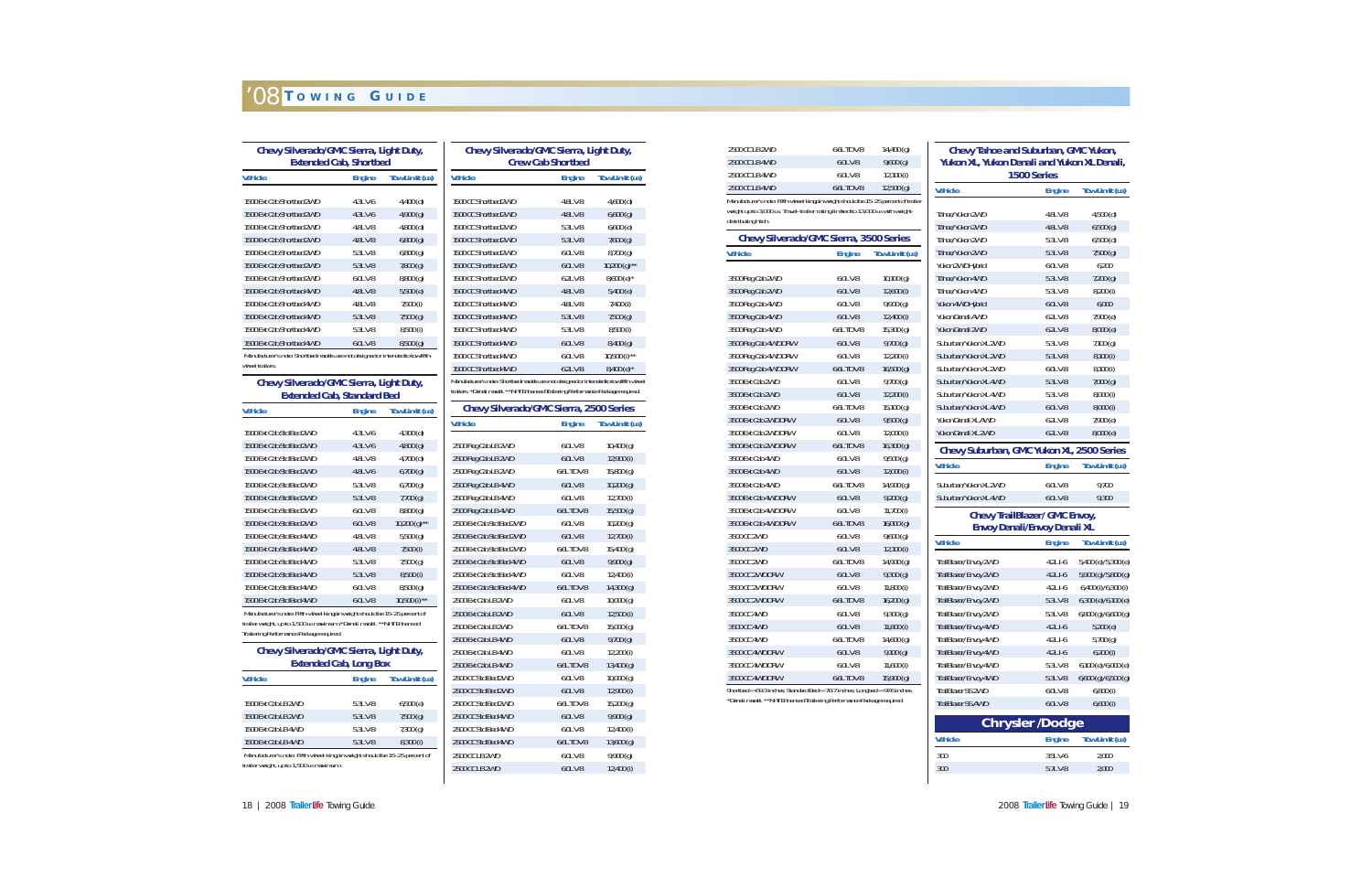| Chevy Silverado/GMC Sierra, Light Duty,<br><b>Extended Cab, Shortbed</b>                                          |                               |                       |                            |
|-------------------------------------------------------------------------------------------------------------------|-------------------------------|-----------------------|----------------------------|
| <b>Vehicle</b>                                                                                                    | <b>Engine</b>                 | Tow Limit (LB)        | <b>Vehic</b>               |
| 1500 Ext Cab Shortbed 2WD                                                                                         | 4.3LV-6                       | $4,400$ (d)           | 1500(                      |
| 1500 Ext Cab Shortbed 2WD                                                                                         | 4.3LV-6                       | 4,900(g)              | 1500(                      |
| 1500 Ext Cab Shortbed 2WD                                                                                         | 4.8LV-8                       | $4,800$ (d)           | 1500(                      |
| 1500 Ext Cab Shortbed 2WD                                                                                         | 4.8LV-8                       | 6,800(g)              | 1500 <sub>0</sub>          |
| 1500 Ext Cab Shortbed 2WD                                                                                         | 5.3L V-8                      | 6,800(q)              | 1500(                      |
| 1500 Ext Cab Shortbed 2WD                                                                                         | 5.3LV-8                       | $7,800$ (q)           | 1500(                      |
| 1500 Ext Cab Shortbed 2WD                                                                                         | $6.0L$ V-8                    | 8,800(q)              | 1500(                      |
| 1500 Ext Cab Shortbed 4WD                                                                                         | 4.8LV-8                       | 5,500(e)              | 1500(                      |
| 1500 Ext Cab Shortbed 4WD                                                                                         | 4.8LV-8                       | $7,500$ (i)           | 1500 <sub>0</sub>          |
| 1500 Ext Cab Shortbed 4WD                                                                                         | 5.3LV-8                       | 7,500 (g)             | 1500 <sub>0</sub>          |
| 1500 Ext Cab Shortbed 4WD                                                                                         | 5.3L V-8                      | 8,500(i)              | 1500(                      |
| 1500 Ext Cab Shortbed 4WD                                                                                         | 6.0LV-8                       | 8,500(g)              | 1500 <sub>0</sub>          |
| Manufacturer's note: Shortbed models are not designed or intended to tow fifth-<br>wheel trailers.                |                               |                       | 1500(<br>1500(             |
| Chevy Silverado/GMC Sierra, Light Duty,<br><b>Extended Cab, Standard Bed</b>                                      |                               |                       | <b>Manufa</b><br>trailers. |
| <b>Vehicle</b>                                                                                                    | <b>Engine</b>                 | <b>Tow Limit (LB)</b> |                            |
| 1500 Ext Cab Std Bed 2WD                                                                                          | 4.3LV-6                       | $4,300$ (d)           | <b>Vehic</b>               |
| 1500 Ext Cab Std Bed 2WD                                                                                          | 4.3LV-6                       | 4,800(g)              | 2500 l                     |
| 1500 Ext Cab Std Bed 2WD                                                                                          | 4.8L V-8                      | $4,700$ (d)           | 2500 l                     |
| 1500 Ext Cab Std Bed 2WD                                                                                          | 4.8LV-6                       | $6,700$ (g)           | 2500 I                     |
| 1500 Ext Cab Std Bed 2WD                                                                                          | 5.3L V-8                      | $6,700$ (g)           | 2500 l                     |
| 1500 Ext Cab Std Bed 2WD                                                                                          | 5.3LV-8                       | 7,700(g)              | 2500 I                     |
| 1500 Ext Cab Std Bed 2WD                                                                                          | 6.0LV-8                       | 8,800(g)              | 2500 l                     |
| 1500 Ext Cab Std Bed 2WD                                                                                          | $6.0L$ V-8                    | $10,200(g)$ **        | 2500 I                     |
| 1500 Ext Cab Std Bed 4WD                                                                                          | 4.8L V-8                      | 5,500(g)              | 2500 l                     |
| 1500 Ext Cab Std Bed 4WD                                                                                          | 4.8LV-8                       | $7,500$ (i)           | 2500 I                     |
| 1500 Ext Cab Std Bed 4WD                                                                                          | 5.3L V-8                      | $7,500$ (g)           | 2500 l                     |
| 1500 Ext Cab Std Bed 4WD                                                                                          | 5.3LV-8                       | 8,500 (i)             | 2500 I                     |
| 1500 Ext Cab Std Bed 4WD                                                                                          | $6.0L$ V-8                    | $8,500$ (g)           | 2500 l                     |
| 1500 Ext Cab Std Bed 4WD                                                                                          | $6.0L$ V-8                    | $10,500$ (i) **       | 2500 l                     |
| Manufacturer's note: Fifth-wheel kingpin weight should be 15-25 percent of                                        |                               |                       | 2500 l                     |
| trailer weight, up to 1,500 LB maximum. *Denali model. **NHT Enhanced<br>Trailering Performance Package required. |                               |                       | 2500 I<br>2500             |
| Chevy Silverado/GMC Sierra, Light Duty,                                                                           |                               |                       | 2500 l                     |
|                                                                                                                   | <b>Extended Cab, Long Box</b> |                       | 2500                       |
| <b>Vehicle</b>                                                                                                    | <b>Engine</b>                 | <b>Tow Limit (LB)</b> | 2500                       |
|                                                                                                                   |                               |                       | 2500                       |
| 1500 Ext Cab LB 2WD                                                                                               | 5.3L V-8                      | 6,500(e)              | 2500 (                     |
| 1500 Ext Cab LB 2WD                                                                                               | 5.3L V-8                      | $7,500$ (g)           | 2500                       |
| 1500 Ext Cab LB 4WD                                                                                               | 5.3L V-8                      | $7,300$ (q)           | 2500 (                     |
| 1500 Ext Cab LB 4WD                                                                                               | 5.3LV-8                       | 8,300 (i)             | 2500                       |
| Manufacturer's note: Fifth-wheel kingpin weight should be 15-25 percent of                                        |                               |                       | 2500                       |
| trailer weight, up to 1,500 LB maximum.                                                                           |                               |                       | 2500                       |

| Chevy Silverado/GMC Sierra, Light Duty,<br><b>Crew Cab Shortbed</b>                                                                                                      |               |                          |  |
|--------------------------------------------------------------------------------------------------------------------------------------------------------------------------|---------------|--------------------------|--|
| <b>Vehicle</b>                                                                                                                                                           | <b>Engine</b> | <b>Tow Limit (LB)</b>    |  |
| 1500 CC Shortbed 2WD                                                                                                                                                     | 4.8LV-8       | $4,600$ (d)              |  |
| 1500 CC Shortbed 2WD                                                                                                                                                     | 4.8LV-8       | 6,600(g)                 |  |
| 1500 CC Shortbed 2WD                                                                                                                                                     | 5.3LV-8       | 6,600(e)                 |  |
| 1500 CC Shortbed 2WD                                                                                                                                                     | 5.3LV-8       | $7,600$ (g)              |  |
| 1500 CC Shortbed 2WD                                                                                                                                                     | $6.01 V - 8$  | 8,700(g)                 |  |
| 1500 CC Shortbed 2WD                                                                                                                                                     | 6.0L V-8      | $10,200 (q)$ **          |  |
| 1500 CC Shortbed 2WD                                                                                                                                                     | $6.2L$ V-8    | $8,600(e)^{*}$           |  |
| 1500 CC Shortbed 4WD                                                                                                                                                     | 4.8LV-8       | 5,400(e)                 |  |
| 1500 CC Shorthed 4WD                                                                                                                                                     | 4.81 V-8      | 7,400 (i)                |  |
| 1500 CC Shortbed 4WD                                                                                                                                                     | 5.3LV-8       | $7,500$ (g)              |  |
| 1500 CC Shortbed 4WD                                                                                                                                                     | 5.3LV-8       | 8,500(i)                 |  |
| 1500 CC Shortbed 4WD                                                                                                                                                     | $6.0L$ V-8    | 8,400(g)                 |  |
| 1500 CC Shortbed 4WD                                                                                                                                                     | 6.0L V-8      | $10,500$ (i) **          |  |
| 1500 CC Shortbed 4WD                                                                                                                                                     | 6.2LV-8       | $8,400$ (e) <sup>*</sup> |  |
| Manufacturer's note: Shortbed models are not designed or intended to tow fifth-wheel<br>trailers. *Denali model. **NHT Enhanced Trailering Performance Package required. |               |                          |  |
| <b>Chevy Silverado/GMC Sierra, 2500 Series</b>                                                                                                                           |               |                          |  |
| <b>Vehicle</b>                                                                                                                                                           | <b>Engine</b> | <b>Tow Limit (LB)</b>    |  |
| 2500 Reg Cab LB 2WD                                                                                                                                                      | 6.0LV-8       | $10,400$ (q)             |  |

| venicle                  | Engine        | IOW LIMIT (LB) |
|--------------------------|---------------|----------------|
| 2500 Reg Cab LB 2WD      | $6.0 L V - 8$ | 10,400(g)      |
| 2500 Reg Cab LB 2WD      | $6.0L$ V-8    | $12,900$ (i)   |
| 2500 Reg Cab LB 2WD      | 6.6L TD V-8   | $15,800$ (q)   |
| 2500 Reg Cab LB 4WD      | $6.0L$ V-8    | 10,200(g)      |
| 2500 Reg Cab LB 4WD      | $6.0L$ V-8    | 12,700 (i)     |
| 2500 Reg Cab LB 4WD      | 6.6L TD V-8   | $15,500$ (g)   |
| 2500 Ext Cab Std Bed 2WD | $6.0L$ V-8    | $10,200$ (q)   |
| 2500 Ext Cab Std Bed 2WD | $6.0L$ V-8    | $12,700$ (i)   |
| 2500 Ext Cab Std Bed 2WD | 6.6L TD V-8   | 15,400(g)      |
| 2500 Ext Cab Std Bed 4WD | 6.0L V-8      | 9,900(q)       |
| 2500 Ext Cab Std Bed 4WD | 6.0LV-8       | 12,400 (i)     |
| 2500 Ext Cab Std Bed 4WD | 6.6L TD V-8   | 14,300 (g)     |
| 2500 Ext Cab LB 2WD      | $6.0L$ V-8    | 10,000(g)      |
| 2500 Ext Cab LB 2WD      | $6.0L$ V-8    | $12,500$ (i)   |
| 2500 Ext Cab LB 2WD      | 6.6L TD V-8   | 15,000(g)      |
| 2500 Ext Cab LB 4WD      | $6.0L$ V-8    | $9,700$ (g)    |
| 2500 Ext Cab LB 4WD      | $6.0L$ V-8    | $12,200$ (i)   |
| 2500 Ext Cab LB 4WD      | 6.6L TD V-8   | $13,400$ (g)   |
| 2500 CC Std Bed 2WD      | $6.0L$ V-8    | 10,000(g)      |
| 2500 CC Std Bed 2WD      | $6.0L$ V-8    | $12,900$ (i)   |
| 2500 CC Std Bed 2WD      | 6.6L TD V-8   | 15,200(g)      |
| 2500 CC Std Bed 4WD      | 6.0LV-8       | 9,900(q)       |
| 2500 CC Std Bed 4WD      | $6.0L$ V-8    | $12,400$ (i)   |
| 2500 CC Std Bed 4WD      | $6.6L$ TD V-8 | 13,600(g)      |
| 2500 CC LB 2WD           | $6.0L$ V-8    | 9,900(g)       |
| 2500 CC LB 2WD           | 6.0L V-8      | 12,400 (i)     |

| 2500 CC LB 4WD<br>Manufacturer's note: Fifth-wheel kingpin weight should be 15-25 percent of trailer  | 6.6L TD V-8   | $12,500$ (g)          |
|-------------------------------------------------------------------------------------------------------|---------------|-----------------------|
| weight up to 3,000 LB. Travel-trailer rating limited to 13,000 LB with weight-<br>distributing hitch. |               |                       |
| <b>Chevy Silverado/GMC Sierra, 3500 Series</b>                                                        |               |                       |
| <b>Vehicle</b>                                                                                        | <b>Engine</b> | <b>Tow Limit (LB)</b> |
| 3500 Reg Cab 2WD                                                                                      | 6.0LV-8       | $10,100$ (q)          |
| 3500 Reg Cab 2WD                                                                                      | 6.0LV-8       | 12,600(i)             |
| 3500 Reg Cab 4WD                                                                                      | 6.0LV-8       | 9,900(g)              |
| 3500 Reg Cab 4WD                                                                                      | 6.0LV-8       | 12,400 (i)            |
| 3500 Reg Cab 4WD                                                                                      | 6.6L TD V-8   | $15,300$ (g)          |
| 3500 Reg Cab 4WD DRW                                                                                  | 6.0L V-8      | 9,700(g)              |
| 3500 Reg Cab 4WD DRW                                                                                  | 6.0LV-8       | $12,200$ (i)          |
| 3500 Reg Cab 4WD DRW                                                                                  | 6.6L TD V-8   | 16,500(q)             |
| 3500 Ext Cab 2WD                                                                                      | 6.0LV-8       | 9,700(g)              |
| 3500 Ext Cab 2WD                                                                                      | 6.0L V-8      | 12,200 (i)            |
| 3500 Ext Cab 2WD                                                                                      | 6.6L TD V-8   | $15,100$ (g)          |
| 3500 Ext Cab 2WD DRW                                                                                  | 6.0L V-8      | $9,500$ (q)           |
| 3500 Ext Cab 2WD DRW                                                                                  | 6.0LV-8       | $12,000$ (i)          |
| 3500 Ext Cab 2WD DRW                                                                                  | 6.6L TD V-8   | 16,300(g)             |
| 3500 Ext Cab 4WD                                                                                      | $6.0L$ V-8    | $9,500$ (q)           |
| 3500 Ext Cab 4WD                                                                                      | 6.0L V-8      | $12,000$ (i)          |
| 3500 Ext Cab 4WD                                                                                      | 6.6L TD V-8   | 14,900 (g)            |
| 3500 Ext Cab 4WD DRW                                                                                  | 6.0LV-8       | 9,200(g)              |
| 3500 Ext Cab 4WD DRW                                                                                  | $6.0L$ V-8    | 11,700 $(i)$          |
| 3500 Ext Cab 4WD DRW                                                                                  | 6.6L TD V-8   | 16,000(g)             |
| 3500 CC 2WD                                                                                           | $6.0 L V - 8$ | 9,600(q)              |
| 3500 CC 2WD                                                                                           | 6.0L V-8      | $12,100$ (i)          |
| 3500 CC 2WD                                                                                           | 6.6L TD V-8   | 14,900 (g)            |
| 3500 CC 2WD DRW                                                                                       | 6.0LV-8       | $9,300$ (g)           |
| 3500 CC 2WD DRW                                                                                       | 6.0LV-8       | $11,800$ (i)          |
| 3500 CC 2WD DRW                                                                                       | 6.6L TD V-8   | $16,200$ (q)          |
| 3500 CC 4WD                                                                                           | 6.0LV-8       | $9,300$ (q)           |
| 3500 CC 4WD                                                                                           | 6.0LV-8       | $11,800$ (i)          |
| 3500 CC 4WD                                                                                           | 6.6L TD V-8   | 14,600(q)             |
| 3500 CC 4WD DRW                                                                                       | 6.0L V-8      | 9,100(g)              |
| 3500 CC 4WD DRW                                                                                       | 6.0LV-8       | $11,600$ (i)          |
| 3500 CC 4WD DRW                                                                                       | 6.6L TD V-8   | 15,900(q)             |

#### **Chevy Tahoe and Suburban, GMC Yukon, Yukon XL, Yukon Denali and Yukon XL Denali, 1500 Series**

| Vehicle                                        | <b>Engine</b>                                                               | Tow Limit (LB)                             |
|------------------------------------------------|-----------------------------------------------------------------------------|--------------------------------------------|
| Tahoe/Yukon 2WD                                | 4.8L V-8                                                                    | $4,500$ (d)                                |
| Tahoe/Yukon 2WD                                | 4.8LV-8                                                                     | 6,500(g)                                   |
| Tahoe/Yukon 2WD                                | 5.3LV-8                                                                     | $6,500$ (d)                                |
| Tahoe/Yukon 2WD                                | 5.3LV-8                                                                     | 7,500(q)                                   |
| Yukon 2WD Hybrid                               | 6.0LV-8                                                                     | 6,200                                      |
| Tahoe/Yukon 4WD                                | 5.3LV-8                                                                     | 7,200(g)                                   |
| Tahoe/Yukon 4WD                                | 5.3LV-8                                                                     | 8,200 (i)                                  |
| Yukon 4WD Hybrid                               | 6.0LV-8                                                                     | 6.000                                      |
| Yukon Denali AWD                               | 6.2L V-8                                                                    | 7,900 (e)                                  |
| Yukon Denali 2WD                               | $6.2L$ V-8                                                                  | 8,000 (e)                                  |
| Suburban/Yukon XL 2WD                          | 5.3LV-8                                                                     | $7,100$ (g)                                |
| Suburban/Yukon XL 2WD                          | 5.3LV-8                                                                     | 8,100 (i)                                  |
| Suburban/Yukon XL 2WD                          | $6.0L$ V-8                                                                  | 8,100 (i)                                  |
| Suburban/Yukon XL 4WD                          | 5.3LV-8                                                                     | 7,000 (g)                                  |
| Suburban/Yukon XL 4WD                          | 5.3L V-8                                                                    | 8,000 (i)                                  |
| Suburban/Yukon XL 4WD                          | $6.0L$ V-8                                                                  | 8,000(i)                                   |
| Yukon Denali XL AWD                            | $6.2L$ V-8                                                                  | 7,900 (e)                                  |
| Yukon Denali XL 2WD                            | 6.2LV-8                                                                     | 8,000 (e)                                  |
| Chevy Suburban, GMC Yukon XL, 2500 Series      |                                                                             |                                            |
| Vehicle                                        | <b>Engine</b>                                                               | Tow Limit (LB)                             |
| Suburban/Yukon XL 2WD                          | $6.0L$ V-8                                                                  | 9,700                                      |
| Suburban/Yukon XL 4WD                          | 6.0LV-8                                                                     | 9,300                                      |
|                                                | <b>Chevy TrailBlazer/ GMC Envoy,</b><br><b>Envoy Denali/Envoy Denali XL</b> |                                            |
| _<br>Vehicle                                   | Engine                                                                      | Tow Limit (LB)                             |
|                                                |                                                                             |                                            |
| TrailBlazer/Envoy 2WD<br>TrailBlazer/Envoy 2WD | 4.2LI-6<br>$4.2L$ I-6                                                       | 5,400 (e)/5,300 (e)<br>5,900 (g)/5,800 (g) |
| TrailBlazer/Envoy 2WD                          | 4.2LI-6                                                                     | 6,400 (i)/6,300 (i)                        |
| TrailBlazer/Envoy 2WD                          | 5.3LV-8                                                                     | 6,300 (e)/6,100 (e)                        |
| TrailBlazer/Envoy 2WD                          | 5.3LV-8                                                                     | 6,800 (g)/6,600 (g)                        |
| TrailBlazer/Envoy 4WD                          | $4.2L$ I-6                                                                  | 5,200 (e)                                  |
| TrailBlazer/Envoy 4WD                          | 4.2LI-6                                                                     | $5,700$ (g)                                |
| TrailBlazer/Envoy 4WD                          | 4.2LI-6                                                                     | 6,200(i)                                   |
| TrailBlazer/Envoy 4WD                          | 5.3LV-8                                                                     | 6,100 (e)/6,000 (e)                        |
| TrailBlazer/Envoy 4WD                          | 5.3LV-8                                                                     | 6,600 (g)/6,500 (g)                        |
| TrailBlazer SS 2WD                             | 6.0LV-8                                                                     | 6,800(i)                                   |
| <b>TrailBlazer SS AWD</b>                      | 6.0LV-8                                                                     | 6,600(i)                                   |
|                                                | <b>Chrysler /Dodge</b>                                                      |                                            |
| <b>Vehicle</b>                                 | <b>Engine</b>                                                               | Tow Limit (LB)                             |
| 300                                            | 3.5LV-6                                                                     | 2,000                                      |
| 300                                            | 5.7LV-8                                                                     | 2,000                                      |
|                                                |                                                                             |                                            |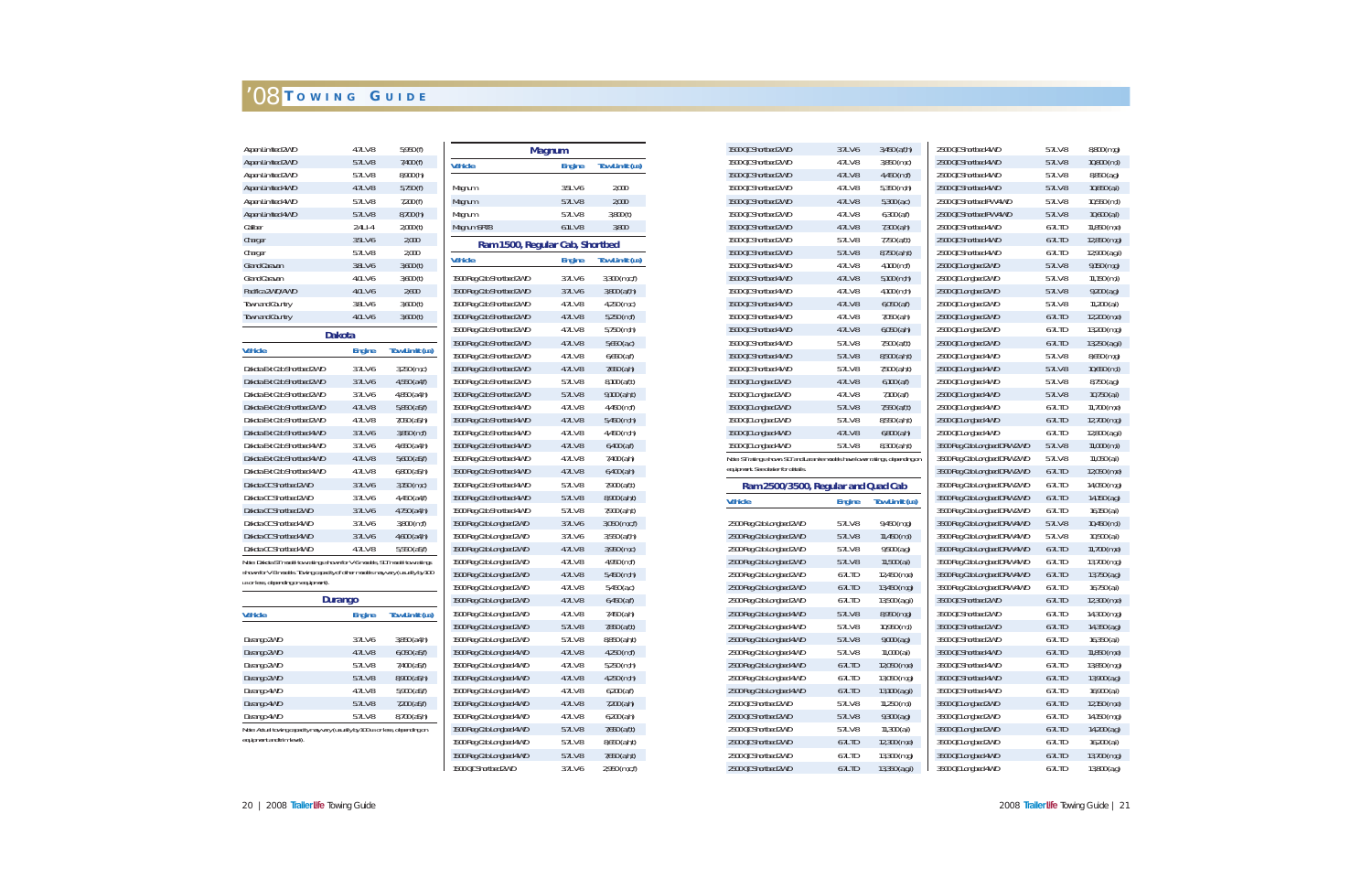| Aspen Limited 2WD                                                                                                                                                                                       | 4.7LV-8        | 5,950 (f)          |
|---------------------------------------------------------------------------------------------------------------------------------------------------------------------------------------------------------|----------------|--------------------|
| Aspen Limited 2WD                                                                                                                                                                                       | 5.7LV-8        | 7,400 (f)          |
| Aspen Limited 2WD                                                                                                                                                                                       | 5.7LV-8        | 8,900 (h)          |
| Aspen Limited 4WD                                                                                                                                                                                       | 4.7LV-8        | 5,750(f)           |
| Aspen Limited 4WD                                                                                                                                                                                       | 5.7LV-8        | 7,200(f)           |
| Aspen Limited 4WD                                                                                                                                                                                       | 5.7LV-8        | 8,700 (h)          |
| Caliber                                                                                                                                                                                                 | $2.4LI - 4$    | 2,000(t)           |
| Charger                                                                                                                                                                                                 | 3.5LV-6        | 2,000              |
| Charger                                                                                                                                                                                                 | 5.7LV-8        | 2,000              |
| <b>Grand Caravan</b>                                                                                                                                                                                    | 3.8LV-6        | 3,600(t)           |
| <b>Grand Caravan</b>                                                                                                                                                                                    | 4.0LV-6        | 3,600(t)           |
| Pacifica 2WD/AWD                                                                                                                                                                                        | 4.0LV-6        | 2,600              |
| <b>Town and Country</b>                                                                                                                                                                                 | 3.8LV-6        | 3,600(t)           |
| <b>Town and Country</b>                                                                                                                                                                                 | 4.0LV-6        | 3,600(t)           |
|                                                                                                                                                                                                         | <b>Dakota</b>  |                    |
| <b>Vehicle</b>                                                                                                                                                                                          | <b>Engine</b>  | Tow Limit (LB)     |
| Dakota Ext Cab Shortbed 2WD                                                                                                                                                                             | 3.7LV-6        | $3,250$ (m,c)      |
| Dakota Ext Cab Shortbed 2WD                                                                                                                                                                             | 3.7LV-6        | 4,550 (a4,f)       |
| Dakota Ext Cab Shortbed 2WD                                                                                                                                                                             | 3.7LV-6        | 4,850 (a4,h)       |
| Dakota Ext Cab Shortbed 2WD                                                                                                                                                                             | 4.7LV-8        | $5,850$ (a5,f)     |
| Dakota Ext Cab Shortbed 2WD                                                                                                                                                                             | 4.7LV-8        | 7,050 (a5,h)       |
| Dakota Ext Cab Shortbed 4WD                                                                                                                                                                             | 3.7LV-6        | $3,850$ (m,f)      |
| Dakota Ext Cab Shortbed 4WD                                                                                                                                                                             | 3.7LV-6        | 4,650 (a4,h)       |
| Dakota Ext Cab Shortbed 4WD                                                                                                                                                                             | 4.7LV-8        | $5,600$ (a $5,f$ ) |
| Dakota Ext Cab Shortbed 4WD                                                                                                                                                                             | 4.7LV-8        | $6,800$ ( $a5,h$ ) |
| Dakota CC Shortbed 2WD                                                                                                                                                                                  | 3.7LV-6        | $3,150$ (m,c)      |
| Dakota CC Shortbed 2WD                                                                                                                                                                                  | 3.7LV-6        | 4,450 (a4,f)       |
| Dakota CC Shortbed 2WD                                                                                                                                                                                  | 3.7LV-6        | 4,750 (a4,h)       |
| Dakota CC Shortbed 4WD                                                                                                                                                                                  | 3.7LV-6        | $3,800$ (m,f)      |
| Dakota CC Shortbed 4WD                                                                                                                                                                                  | 3.7LV-6        | 4,600 (a4,h)       |
| Dakota CC Shortbed 4WD                                                                                                                                                                                  | 4.7LV-8        | 5,550 (a5,f)       |
| Note: Dakota ST model tow ratings shown for V-6 models, SLT model tow ratings<br>shown for V-8 models. Towing capacity of other models may vary (usually by 100<br>LB or less, depending on equipment). | <b>Durango</b> |                    |
| <b>Vehicle</b>                                                                                                                                                                                          | <b>Engine</b>  | Tow Limit (LB)     |
|                                                                                                                                                                                                         |                |                    |
| Durango 2WD                                                                                                                                                                                             | 3.7LV-6        | $3,850$ (a4,h)     |
| Durango 2WD                                                                                                                                                                                             | 4.7LV-8        | $6,050$ (a5,f)     |
| Durango 2WD                                                                                                                                                                                             | 5.7LV-8        | 7,400 (a5,f)       |
| Durango 2WD                                                                                                                                                                                             | 5.7LV-8        | 8,900 (a5,h)       |
| Durango 4WD                                                                                                                                                                                             | 4.7LV-8        | 5,900 (a5,f)       |
| Durango 4WD                                                                                                                                                                                             | 5.7LV-8        | $7,200$ $(a5,f)$   |
| Durango 4WD                                                                                                                                                                                             | 5.7LV-8        | $8,700$ (a5,h)     |
| Note: Actual towing capacity may vary (usually by 100 LB or less, depending on<br>equipment and trim level).                                                                                            |                |                    |

|                                 | <b>Magnum</b> |                       |
|---------------------------------|---------------|-----------------------|
| <b>Vehicle</b>                  | <b>Engine</b> | Tow Limit (LB)        |
| Magnum                          | 3.5LV-6       | 2,000                 |
| Magnum                          | 5.7LV-8       | 2,000                 |
| Magnum                          | 5.7LV-8       | 3,800(t)              |
| Magnum SRT8                     | $6.1L$ V-8    | 3,800                 |
| Ram 1500, Regular Cab, Shortbed |               |                       |
| <b>Vehicle</b>                  | <b>Engine</b> | <b>Tow Limit (LB)</b> |
| 1500 Reg Cab Shortbed 2WD       | 3.7LV-6       | 3,300 (m,c,f)         |
| 1500 Reg Cab Shortbed 2WD       | 3.7LV-6       | 3,800 (a,f,h)         |
| 1500 Reg Cab Shortbed 2WD       | 4.7LV-8       | 4,250 (m,c)           |
| 1500 Reg Cab Shortbed 2WD       | 4.7LV-8       | $5,250$ (m,f)         |
| 1500 Reg Cab Shortbed 2WD       | 4.7LV-8       | 5,750 (m,h)           |
| 1500 Reg Cab Shortbed 2WD       | 4.7LV-8       | 5,650(a,c)            |
| 1500 Reg Cab Shortbed 2WD       | 4.7LV-8       | $6,650$ (a,f)         |
| 1500 Reg Cab Shortbed 2WD       | 4.7LV-8       | 7,650 (a,h)           |
| 1500 Reg Cab Shortbed 2WD       | 5.7LV-8       | 8,100 (a,f,t)         |
| 1500 Reg Cab Shortbed 2WD       | 5.7LV-8       | 9,100 (a,h,t)         |
| 1500 Reg Cab Shortbed 4WD       | 4.7LV-8       | 4,450 (m,f)           |
| 1500 Reg Cab Shortbed 4WD       | 4.7LV-8       | 5,450 (m,h)           |
| 1500 Reg Cab Shortbed 4WD       | 4.7LV-8       | 4,450 (m,h)           |
| 1500 Reg Cab Shortbed 4WD       | 4.7LV-8       | $6,400$ (a,f)         |
| 1500 Reg Cab Shortbed 4WD       | 4.7LV-8       | 7,400 (a,h)           |
| 1500 Reg Cab Shortbed 4WD       | 4.7LV-8       | $6,400$ $(1, h)$      |
| 1500 Reg Cab Shortbed 4WD       | 5.7LV-8       | 7,900 (a,f,t)         |
| 1500 Reg Cab Shortbed 4WD       | 5.7LV-8       | 8,900 (a,h,t)         |
| 1500 Reg Cab Shortbed 4WD       | 5.7LV-8       | 7,900 (a,h,t)         |
| 1500 Reg Cab Longbed 2WD        | 3.7LV-6       | 3,050 (m,c,f)         |
| 1500 Reg Cab Longbed 2WD        | 3.7LV-6       | $3,550$ (a,f,h)       |
| 1500 Reg Cab Longbed 2WD        | 4.7LV-8       | 3,950 (m,c)           |
| 1500 Reg Cab Longbed 2WD        | 4.7LV-8       | 4,950 (m,f)           |
| 1500 Reg Cab Longbed 2WD        | 4.7LV-8       | 5,450 (m,h)           |
| 1500 Reg Cab Longbed 2WD        | 4.7LV-8       | 5,450 (a,c)           |
| 1500 Reg Cab Longbed 2WD        | 4.7LV-8       | $6,450$ (a,f)         |
| 1500 Reg Cab Longbed 2WD        | 4.7LV-8       | 7,450 (a,h)           |
| 1500 Reg Cab Longbed 2WD        | 5.7LV-8       | 7,850 (a,f,t)         |
| 1500 Reg Cab Longbed 2WD        | 5.7LV-8       | 8,850 (a,h,t)         |
| 1500 Reg Cab Longbed 4WD        | 4.7LV-8       | $4,250$ (m,f)         |
| 1500 Reg Cab Longbed 4WD        | 4.7LV-8       | 5,250 (m,h)           |
| 1500 Reg Cab Longbed 4WD        | 4.7LV-8       | 4,250 (m,h)           |
| 1500 Reg Cab Longbed 4WD        | 4.7LV-8       | $6,200$ $(a,f)$       |
| 1500 Reg Cab Longbed 4WD        | 4.7LV-8       | $7,200$ (a,h)         |
| 1500 Reg Cab Longbed 4WD        | 4.7L V-8      | $6,200$ (a,h)         |
| 1500 Reg Cab Longbed 4WD        |               | 7,650 (a,f,t)         |
| 1500 Reg Cab Longbed 4WD        | 5.7LV-8       |                       |
|                                 | 5.7LV-8       | 8,650 (a,h,t)         |
| 1500 Reg Cab Longbed 4WD        | 5.7LV-8       | 7,650 (a,h,t)         |
| 1500 QC Shortbed 2WD            | 3.7LV-6       | 2,950 (m,c,f)         |

| 1500 QC Shortbed 2WD                                                                                         | 3.7LV-6       | $3,450$ $(a,f,h)$   | 2500 QC Shortbed 4WD                                 |
|--------------------------------------------------------------------------------------------------------------|---------------|---------------------|------------------------------------------------------|
| 1500 QC Shortbed 2WD                                                                                         | 4.7LV-8       | 3,850 (m,c)         | 2500 QC Shortbed 4WD                                 |
| 1500 QC Shortbed 2WD                                                                                         | 4.7LV-8       | $4,450$ (m,f)       | 2500 QC Shortbed 4WD                                 |
| 1500 QC Shortbed 2WD                                                                                         | 4.7LV-8       | $5,350$ (m,h)       | 2500 QC Shortbed 4WD                                 |
| 1500 QC Shortbed 2WD                                                                                         | 4.7LV-8       | $5,300$ (a,c)       | 2500 QC Shortbed PW 4WD                              |
| 1500 QC Shortbed 2WD                                                                                         | 4.7LV-8       | $6,300$ (a,f)       | 2500 QC Shortbed PW 4WD                              |
| 1500 QC Shortbed 2WD                                                                                         | 4.7LV-8       | $7,300$ (a,h)       | 2500 QC Shortbed 4WD                                 |
| 1500 QC Shortbed 2WD                                                                                         | 5.7LV-8       | $7,750$ $(a, f, t)$ | 2500 QC Shortbed 4WD                                 |
| 1500 QC Shortbed 2WD                                                                                         | 5.7LV-8       | 8,750 (a,h,t)       | 2500 QC Shortbed 4WD                                 |
| 1500 QC Shortbed 4WD                                                                                         | 4.7LV-8       | $4,100$ (m,f)       | 2500 QC Longbed 2WD                                  |
| 1500 QC Shortbed 4WD                                                                                         | 4.7LV-8       | 5,100 (m,h)         | 2500 QC Longbed 2WD                                  |
| 1500 QC Shortbed 4WD                                                                                         | 4.7LV-8       | $4,100$ (m,h)       | 2500 QC Longbed 2WD                                  |
| 1500 QC Shortbed 4WD                                                                                         | 4.7LV-8       | $6,050$ (a,f)       | 2500 QC Longbed 2WD                                  |
| 1500 QC Shortbed 4WD                                                                                         | 4.7LV-8       | 7,050 (a,h)         | 2500 QC Longbed 2WD                                  |
| 1500 QC Shortbed 4WD                                                                                         | 4.7LV-8       | $6,050$ $(a,h)$     | 2500 QC Longbed 2WD                                  |
| 1500 QC Shortbed 4WD                                                                                         | 5.7LV-8       | $7,500$ $(a, f, t)$ | 2500 QC Longbed 2WD                                  |
| 1500 QC Shortbed 4WD                                                                                         | 5.7LV-8       | 8,500 (a,h,t)       | 2500 QC Longbed 4WD                                  |
| 1500 QC Shortbed 4WD                                                                                         | 5.7LV-8       | 7,500 (a,h,t)       | 2500 QC Longbed 4WD                                  |
| 1500 QC Longbed 2WD                                                                                          | 4.7LV-8       | $6,100$ (a,f)       | 2500 QC Longbed 4WD                                  |
| 1500 QC Longbed 2WD                                                                                          | 4.7LV-8       | $7,100$ (a,f)       | 2500 QC Longbed 4WD                                  |
| 1500 QC Longbed 2WD                                                                                          | 5.7LV-8       | 7,550 (a,f,t)       | 2500 QC Longbed 4WD                                  |
| 1500 QC Longbed 2WD                                                                                          | 5.7LV-8       | 8,550 (a,h,t)       | 2500 QC Longbed 4WD                                  |
|                                                                                                              |               |                     |                                                      |
|                                                                                                              | 4.7LV-8       | $6,800$ $(a,h)$     | 2500 QC Longbed 4WD                                  |
| 1500 QC Longbed 4WD<br>1500 QC Longbed 4WD                                                                   | 5.7LV-8       | 8,300 (a,h,t)       | 3500 Reg Cab Longbed DRW                             |
| Note: ST ratings shown. SLT and Laramie models have lower ratings, depending on                              |               |                     |                                                      |
| equipment. See dealer for details.                                                                           |               |                     | 3500 Reg Cab Longbed DRW<br>3500 Reg Cab Longbed DRW |
| Ram 2500/3500, Regular and Quad Cab                                                                          |               |                     | 3500 Reg Cab Longbed DRW                             |
| <b>Vehicle</b>                                                                                               |               | Tow Limit (LB)      | 3500 Reg Cab Longbed DRW                             |
|                                                                                                              | <b>Engine</b> |                     | 3500 Reg Cab Longbed DRW                             |
| 2500 Reg Cab Longbed 2WD                                                                                     | 5.7LV-8       | 9,450 (m,g)         | 3500 Reg Cab Longbed DRW                             |
|                                                                                                              | 5.7LV-8       | $11,450$ (m,i)      | 3500 Reg Cab Longbed DRW                             |
|                                                                                                              | 5.7LV-8       | $9,500$ (a,g)       |                                                      |
|                                                                                                              | 5.7LV-8       | $11,500$ (a,i)      | 3500 Reg Cab Longbed DRW<br>3500 Reg Cab Longbed DRW |
| 2500 Reg Cab Longbed 2WD<br>2500 Reg Cab Longbed 2WD<br>2500 Reg Cab Longbed 2WD<br>2500 Reg Cab Longbed 2WD | 6.7L TD       | 12,450 (m,e)        | 3500 Reg Cab Longbed DRW                             |
|                                                                                                              | 6.7L TD       | 13,450 (m,g)        | 3500 Reg Cab Longbed DRW                             |
| 2500 Reg Cab Longbed 2WD<br>2500 Reg Cab Longbed 2WD                                                         | 6.7L TD       | 13,500 (a,g,i)      | 3500 QC Shortbed 2WD                                 |
|                                                                                                              | 5.7LV-8       | 8,950 (m,g)         | 3500 QC Shortbed 2WD                                 |
| 2500 Reg Cab Longbed 4WD<br>2500 Reg Cab Longbed 4WD                                                         | 5.7LV-8       | 10,950 (m,i)        | 3500 QC Shortbed 2WD                                 |
|                                                                                                              | 5.7LV-8       | $9,000$ $(a,g)$     | 3500 QC Shortbed 2WD                                 |
| 2500 Reg Cab Longbed 4WD<br>2500 Reg Cab Longbed 4WD                                                         | 5.7LV-8       | $11,000$ (a,i)      | 3500 QC Shortbed 4WD                                 |
|                                                                                                              | 6.7L TD       | 12,050 (m,e)        | 3500 QC Shortbed 4WD                                 |
|                                                                                                              | 6.7L TD       | 13,050 (m,q)        | 3500 QC Shortbed 4WD                                 |
| 2500 Reg Cab Longbed 4WD<br>2500 Reg Cab Longbed 4WD<br>2500 Reg Cab Longbed 4WD                             | 6.7L TD       | 13,100 (a,g,i)      | 3500 QC Shortbed 4WD                                 |
| 2500 QC Shortbed 2WD                                                                                         | 5.7LV-8       | $11,250$ (m,i)      | 3500 QC Longbed 2WD                                  |
|                                                                                                              | 5.7LV-8       | $9,300$ (a,g)       | 3500 QC Longbed 2WD                                  |
| 2500 QC Shortbed 2WD<br>2500 QC Shortbed 2WD                                                                 | 5.7LV-8       | $11,300$ (a,i)      | 3500 QC Longbed 2WD                                  |
| 2500 QC Shortbed 2WD                                                                                         | 6.7L TD       | 12,300 (m,e)        | 3500 QC Longbed 2WD                                  |
| 2500 QC Shortbed 2WD                                                                                         | 6.7L TD       | 13,300 (m,g)        | 3500 QC Longbed 4WD                                  |

| 1500 QC Shortbed 2WD                                                            | 3.7LV-6       | $3,450$ (a,f,h)       | 2500 QC Shortbed 4WD         | 5.7LV-8  | 8,800 (m,g)    |
|---------------------------------------------------------------------------------|---------------|-----------------------|------------------------------|----------|----------------|
| 1500 QC Shortbed 2WD                                                            | 4.7LV-8       | 3,850 (m,c)           | 2500 QC Shortbed 4WD         | 5.7LV-8  | 10,800 (m,i)   |
| 1500 QC Shortbed 2WD                                                            | 4.7LV-8       | $4,450$ (m,f)         | 2500 QC Shortbed 4WD         | 5.7LV-8  | 8,850 (a,g)    |
| 1500 QC Shortbed 2WD                                                            | 4.7LV-8       | 5,350 (m,h)           | 2500 QC Shortbed 4WD         | 5.7LV-8  | $10,850$ (a,i) |
| 1500 QC Shortbed 2WD                                                            | 4.7LV-8       | 5,300(a,c)            | 2500 QC Shortbed PW 4WD      | 5.7LV-8  | $10,550$ (m,l) |
| 1500 QC Shortbed 2WD                                                            | 4.7LV-8       | $6,300$ (a,f)         | 2500 QC Shortbed PW 4WD      | 5.7LV-8  | $10,600$ (a,l) |
| 1500 QC Shortbed 2WD                                                            | 4.7LV-8       | 7,300 (a,h)           | 2500 QC Shortbed 4WD         | 6.7L TD  | 11,850 (m,e)   |
| 1500 QC Shortbed 2WD                                                            | 5.7LV-8       | $7,750$ (a,f,t)       | 2500 QC Shortbed 4WD         | 6.7L TD  | 12,850 (m,g)   |
| 1500 QC Shortbed 2WD                                                            | 5.7LV-8       | 8,750 (a,h,t)         | 2500 QC Shortbed 4WD         | 6.7L TD  | 12,900 (a,g,i) |
| 1500 QC Shortbed 4WD                                                            | 4.7LV-8       | $4,100$ (m,f)         | 2500 QC Longbed 2WD          | 5.7LV-8  | $9,150$ (m,g)  |
| 1500 QC Shortbed 4WD                                                            | 4.7LV-8       | $5,100$ (m,h)         | 2500 QC Longbed 2WD          | 5.7LV-8  | $11,150$ (m,i) |
| 1500 QC Shortbed 4WD                                                            | 4.7L V-8      | $4,100$ (m,h)         | 2500 QC Longbed 2WD          | 5.7LV-8  | $9,200$ (a,g)  |
| 1500 QC Shortbed 4WD                                                            | 4.7LV-8       | $6,050$ (a,f)         | 2500 QC Longbed 2WD          | 5.7L V-8 | $11,200$ (a,i) |
| 1500 QC Shortbed 4WD                                                            | 4.7L V-8      | 7,050 (a,h)           | 2500 QC Longbed 2WD          | 6.7L TD  | 12,200 (m,e)   |
| 1500 QC Shortbed 4WD                                                            | 4.7LV-8       | $6,050$ (a,h)         | 2500 QC Longbed 2WD          | 6.7L TD  | 13,200 (m,g)   |
| 1500 QC Shortbed 4WD                                                            | 5.7LV-8       | $7,500$ $(a, f, t)$   | 2500 QC Longbed 2WD          | 6.7L TD  | 13,250 (a,g,i) |
| 1500 QC Shortbed 4WD                                                            | 5.7LV-8       | $8,500$ $(a,h,t)$     | 2500 QC Longbed 4WD          | 5.7LV-8  | 8,650 (m,g)    |
| 1500 QC Shortbed 4WD                                                            | 5.7LV-8       | 7,500 (a,h,t)         | 2500 QC Longbed 4WD          | 5.7LV-8  | $10,650$ (m,i) |
| 1500 QC Longbed 2WD                                                             | 4.7LV-8       | $6,100$ $(a,f)$       | 2500 QC Longbed 4WD          | 5.7LV-8  | 8,750 (a,g)    |
| 1500 QC Longbed 2WD                                                             | 4.7LV-8       | $7,100$ (a,f)         | 2500 QC Longbed 4WD          | 5.7LV-8  | $10,750$ (a,i) |
| 1500 QC Longbed 2WD                                                             | 5.7LV-8       | 7,550 (a,f,t)         | 2500 QC Longbed 4WD          | 6.7L TD  | $11,700$ (m,e) |
| 1500 QC Longbed 2WD                                                             | 5.7LV-8       | 8,550 (a,h,t)         | 2500 QC Longbed 4WD          | 6.7L TD  | 12,700 (m,g)   |
| 1500 QC Longbed 4WD                                                             | 4.7LV-8       | $6,800$ (a,h)         | 2500 QC Longbed 4WD          | 6.7L TD  | 12,800 (a,g,i) |
| 1500 QC Longbed 4WD                                                             | 5.7LV-8       | $8,300$ (a,h,t)       | 3500 Reg Cab Longbed DRW 2WD | 5.7LV-8  | $11,000$ (m,i) |
| Vote: ST ratings shown. SLT and Laramie models have lower ratings, depending on |               |                       | 3500 Reg Cab Longbed DRW 2WD | 5.7LV-8  | $11,050$ (a,i) |
| equipment. See dealer for details.                                              |               |                       | 3500 Reg Cab Longbed DRW 2WD | 6.7L TD  | 12,050 (m,e)   |
| Ram 2500/3500, Regular and Quad Cab                                             |               |                       | 3500 Reg Cab Longbed DRW 2WD | 6.7L TD  | 14,050 (m,g)   |
| <b>lehicle</b>                                                                  | <b>Engine</b> | <b>Tow Limit (LB)</b> | 3500 Reg Cab Longbed DRW 2WD | 6.7L TD  | 14,150 (a,g)   |
|                                                                                 |               |                       | 3500 Reg Cab Longbed DRW 2WD | 6.7L TD  | $16,150$ (a,i) |
| 2500 Reg Cab Longbed 2WD                                                        | 5.7LV-8       | 9,450 (m,g)           | 3500 Reg Cab Longbed DRW 4WD | 5.7LV-8  | $10,450$ (m,i) |
| 2500 Reg Cab Longbed 2WD                                                        | 5.7LV-8       | $11,450$ (m,i)        | 3500 Reg Cab Longbed DRW 4WD | 5.7LV-8  | $10,500$ (a,i) |
|                                                                                 |               |                       |                              |          |                |
| 2500 Reg Cab Longbed 2WD                                                        | 5.7LV-8       | $9,500$ (a,g)         | 3500 Reg Cab Longbed DRW 4WD | 6.7L TD  | 11,700 (m,e)   |
| 2500 Reg Cab Longbed 2WD                                                        | 5.7LV-8       | $11,500$ $(a, i)$     | 3500 Reg Cab Longbed DRW 4WD | 6.7L TD  | $13,700$ (m,g) |
| 2500 Reg Cab Longbed 2WD                                                        | 6.7L TD       | 12,450 (m,e)          | 3500 Reg Cab Longbed DRW 4WD | 6.7L TD  | 13,750 (a,g)   |
| 2500 Reg Cab Longbed 2WD                                                        | 6.7L TD       | 13,450 (m,g)          | 3500 Reg Cab Longbed DRW 4WD | 6.7L TD  | $16,750$ (a,i) |
| 2500 Reg Cab Longbed 2WD                                                        | 6.7L TD       | 13,500 (a,g,i)        | 3500 QC Shortbed 2WD         | 6.7L TD  | 12,300 (m,e)   |
| 2500 Reg Cab Longbed 4WD                                                        | 5.7LV-8       | 8,950 (m,g)           | 3500 QC Shortbed 2WD         | 6.7L TD  | 14,300 (m,g)   |
| 2500 Reg Cab Longbed 4WD                                                        | 5.7L V-8      | 10,950 (m,i)          | 3500 QC Shortbed 2WD         | 6.7L TD  | 14,350 (a,g)   |
| 2500 Reg Cab Longbed 4WD                                                        | 5.7LV-8       | $9,000$ $(a,g)$       | 3500 QC Shortbed 2WD         | 6.7L TD  | $16,350$ (a,i) |
| 2500 Reg Cab Longbed 4WD                                                        | 5.7LV-8       | 11,000(a,i)           | 3500 QC Shortbed 4WD         | 6.7L TD  | 11,850 (m,e)   |
| 2500 Reg Cab Longbed 4WD                                                        | 6.7L TD       | 12,050 (m,e)          | 3500 QC Shortbed 4WD         | 6.7L TD  | 13,850 (m,g)   |
| 2500 Reg Cab Longbed 4WD                                                        | 6.7L TD       | 13,050 (m,g)          | 3500 QC Shortbed 4WD         | 6.7L TD  | 13,900 (a,g)   |
| 2500 Reg Cab Longbed 4WD                                                        | 6.7L TD       | 13,100 (a,g,i)        | 3500 QC Shortbed 4WD         | 6.7L TD  | 16,900 (a,i)   |
| 2500 QC Shortbed 2WD                                                            | 5.7LV-8       | $11,250$ (m,i)        | 3500 QC Longbed 2WD          | 6.7L TD  | 12,150 (m,e)   |
| 2500 QC Shortbed 2WD                                                            | 5.7LV-8       | $9,300$ (a,g)         | 3500 QC Longbed 2WD          | 6.7L TD  | 14,150 (m,g)   |
| 2500 QC Shortbed 2WD                                                            | 5.7LV-8       | $11,300$ (a,i)        | 3500 QC Longbed 2WD          | 6.7L TD  | 14,200 (a,g)   |
| 2500 QC Shortbed 2WD                                                            | 6.7L TD       | 12,300 (m,e)          | 3500 QC Longbed 2WD          | 6.7L TD  | $16,200$ (a,i) |
| 2500 QC Shortbed 2WD                                                            | 6.7L TD       | 13,300 (m,g)          | 3500 QC Longbed 4WD          | 6.7L TD  | 13,700 (m,g)   |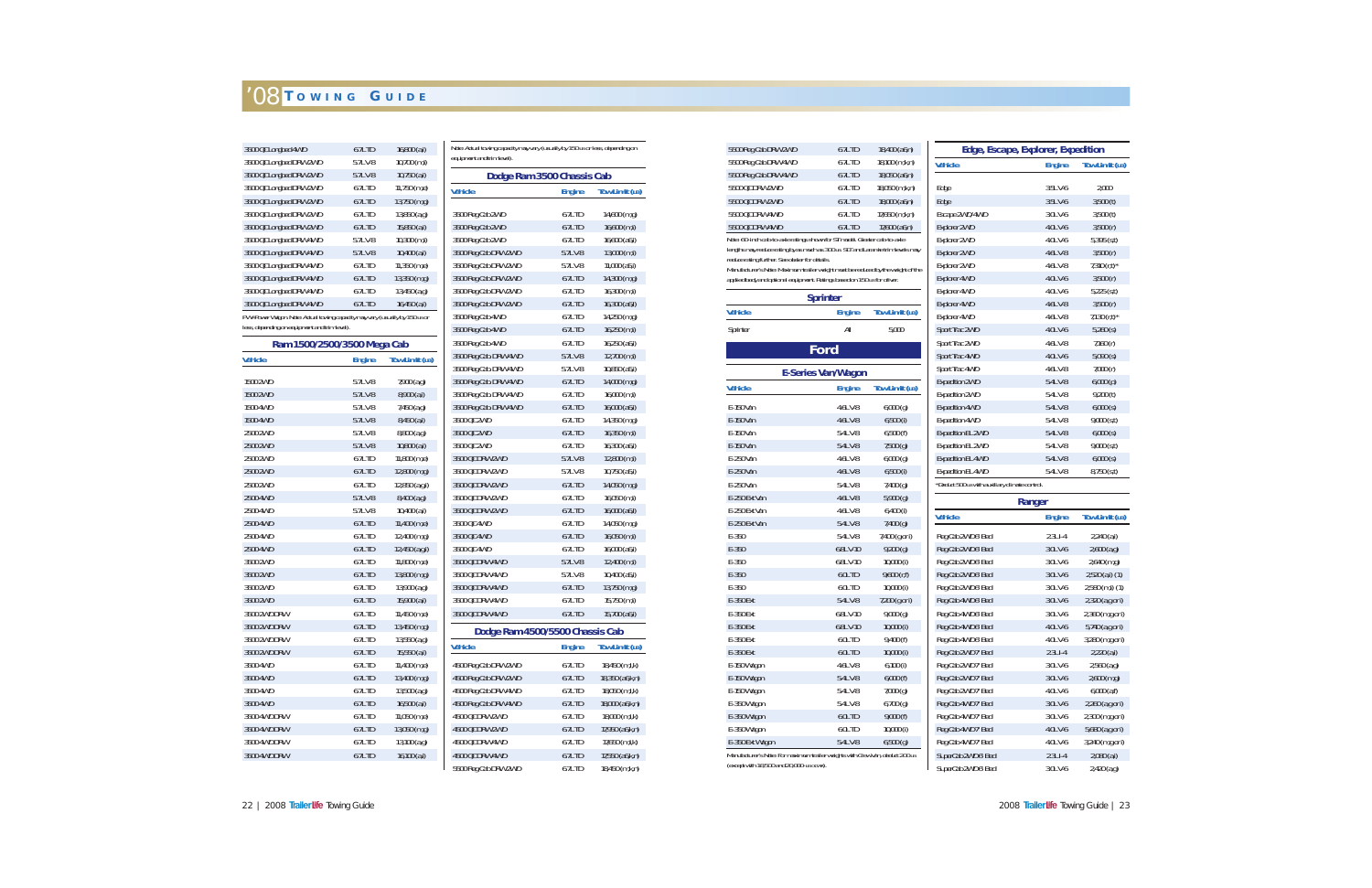| 3500 QC Longbed 4WD                                                         | 6.7L TD       | $16,800$ (a,i) | Note: Actual   |
|-----------------------------------------------------------------------------|---------------|----------------|----------------|
| 3500 QC Longbed DRW 2WD                                                     | 5.7LV-8       | $10,700$ (m,i) | equipment ar   |
| 3500 QC Longbed DRW 2WD                                                     | 5.7LV-8       | $10,750$ (a,i) |                |
| 3500 QC Longbed DRW 2WD                                                     | 6.7L TD       | $11,750$ (m,e) | <b>Vehicle</b> |
| 3500 QC Longbed DRW 2WD                                                     | 6.7L TD       | 13,750 (m,g)   |                |
| 3500 QC Longbed DRW 2WD                                                     | 6.7L TD       | 13,850 (a,g)   | 3500 Reg C     |
| 3500 QC Longbed DRW 2WD                                                     | 6.7L TD       | $15,850$ (a,i) | 3500 Reg C     |
| 3500 QC Longbed DRW 4WD                                                     | 5.7LV-8       | $10,300$ (m,i) | 3500 Reg C     |
| 3500 QC Longbed DRW 4WD                                                     | 5.7LV-8       | $10,400$ (a,i) | 3500 Reg C     |
| 3500 QC Longbed DRW 4WD                                                     | 6.7L TD       | $11,350$ (m,e) | 3500 Reg C     |
| 3500 QC Longbed DRW 4WD                                                     | 6.7L TD       | 13,350 (m,g)   | 3500 Reg C     |
| 3500 QC Longbed DRW 4WD                                                     | 6.7L TD       | 13,450 (a,g)   | 3500 Reg C     |
| 3500 QC Longbed DRW 4WD                                                     | 6.7L TD       | $16,450$ (a,i) | 3500 Reg C     |
| PW=Power Wagon. Note: Actual towing capacity may vary (usually by 150 LB or |               |                | 3500 Reg C     |
| less, depending on equipment and trim level).                               |               |                | 3500 Reg C     |
| Ram 1500/2500/3500 Mega Cab                                                 |               |                | 3500 Reg C     |
| <b>Vehicle</b>                                                              | <b>Engine</b> | Tow Limit (LB) | 3500 Reg C     |
|                                                                             |               |                | 3500 Reg C     |
| 1500 2WD                                                                    | 5.7LV-8       | 7,900 (a,g)    | 3500 Reg C     |
| 1500 2WD                                                                    | 5.7LV-8       | 8,900 (a,i)    | 3500 Reg C     |
| 1500 4WD                                                                    | 5.7LV-8       | 7,450 (a,g)    | 3500 Reg C     |
| 1500 4WD                                                                    | 5.7LV-8       | 8,450 (a,i)    | 3500 QC 2V     |
| 2500 2WD                                                                    | 5.7LV-8       | 8,800 (a,g)    | 3500 QC 2V     |
| 2500 2WD                                                                    | 5.7LV-8       | $10,800$ (a,i) | 3500 QC 2V     |
| 2500 2WD                                                                    | 6.7L TD       | $11,800$ (m,e) | 3500 QC DI     |
| 2500 2WD                                                                    | 6.7L TD       | 12,800 (m,g)   | 3500 QC DI     |
| 2500 2WD                                                                    | 6.7L TD       | 12,850 (a,g,i) | 3500 QC DI     |
| 2500 4WD                                                                    | 5.7LV-8       | $8,400$ (a,g)  | 3500 QC DI     |
| 2500 4WD                                                                    | 5.7LV-8       | 10,400 (a,i)   | 3500 QC DI     |
| 2500 4WD                                                                    | 6.7L TD       | 11,400 (m,e)   | 3500 QC 4V     |
| 2500 4WD                                                                    | 6.7L TD       | 12,400 (m,g)   | 3500 QC 4V     |
| 2500 4WD                                                                    | 6.7L TD       | 12,450 (a,g,i) | 3500 QC 4V     |
| 3500 2WD                                                                    | 6.7L TD       | 11,800 (m,e)   | 3500 QC DI     |
| 3500 2WD                                                                    | 6.7L TD       | 13,800 (m,g)   | 3500 QC DI     |
| 3500 2WD                                                                    | 6.7L TD       | 13,900 (a,g)   | 3500 QC DI     |
| 3500 2WD                                                                    | 6.7L TD       | $15,900$ (a,i) | 3500 QC DI     |
| 3500 2WD DRW                                                                | 6.7L TD       | $11,450$ (m,e) | 3500 QC DI     |
| 3500 2WD DRW                                                                | 6.7L TD       | 13,450 (m,g)   | D              |
| 3500 2WD DRW                                                                | 6.7L TD       | 13,550 (a,g)   | <b>Vehicle</b> |
| 3500 2WD DRW                                                                | 6.7L TD       | $15,550$ (a,i) |                |
| 3500 4WD                                                                    | 6.7L TD       | 11,400 (m,e)   | 4500 Reg C     |
| 3500 4WD                                                                    | 6.7L TD       | 13,400 (m,g)   | 4500 Reg C     |
| 3500 4WD                                                                    | 6.7L TD       | 13,500 (a,g)   | 4500 Reg C     |
| 3500 4WD                                                                    | 6.7L TD       | $16,500$ (a,i) | 4500 Reg C     |
| 3500 4WD DRW                                                                | 6.7L TD       | $11,050$ (m,e) | 4500 QC DI     |
| 3500 4WD DRW                                                                | 6.7L TD       | 13,050 (m,g)   | 4500 QC DI     |
| 3500 4WD DRW                                                                | 6.7L TD       | 13,100 (a,g)   | 4500 QC DI     |
| 3500 4WD DRW                                                                | 6.7L TD       | 16,100 (a,i)   | 4500 QC DI     |

| Dodge Ram 3500 Chassis Cab      |               |                       |
|---------------------------------|---------------|-----------------------|
| <b>Vehicle</b>                  | <b>Engine</b> | <b>Tow Limit (LB)</b> |
| 3500 Reg Cab 2WD                | 6.7L TD       | $14,600$ (m,g)        |
| 3500 Reg Cab 2WD                | 6.7L TD       | $16,600$ (m,i)        |
| 3500 Reg Cab 2WD                | 6.7L TD       | 16,600 (a6,i)         |
| 3500 Reg Cab DRW 2WD            | 5.7LV-8       | 13,000 (m,i)          |
| 3500 Reg Cab DRW 2WD            | 5.7LV-8       | $11,000$ (a5,i)       |
| 3500 Reg Cab DRW 2WD            | $6.7L$ TD     | 14,300 (m,g)          |
| 3500 Reg Cab DRW 2WD            | 6.7L TD       | $16,300$ (m,i)        |
| 3500 Rea Cab DRW 2WD            | $6.7L$ TD     | 16,300 (a6,I)         |
| 3500 Reg Cab 4WD                | 6.7L TD       | 14,250 (m,g)          |
| 3500 Reg Cab 4WD                | 6.7L TD       | $16,250$ (m,i)        |
| 3500 Reg Cab 4WD                | 6.7L TD       | 16,250 (a6,i)         |
| 3500 Reg Cab. DRW 4WD           | 5.7LV-8       | 12,700 (m,i)          |
| 3500 Reg Cab. DRW 4WD           | 5.7LV-8       | $10,850$ (a5,i)       |
| 3500 Reg Cab. DRW 4WD           | 6.7L TD       | 14,000 (m,g)          |
| 3500 Reg Cab. DRW 4WD           | 6.7L TD       | 16,000 (m,i)          |
| 3500 Reg Cab. DRW 4WD           | 6.7L TD       | 16,000 (a6,i)         |
| 3500 OC 2WD                     | 6.7L TD       | 14,350 (m,g)          |
| 3500 QC 2WD                     | 6.7L TD       | $16,350$ (m,i)        |
| 3500 QC 2WD                     | 6.7L TD       | 16,300 (a6,i)         |
| 3500 QC DRW 2WD                 | 5.7LV-8       | 12,800 (m,i)          |
| 3500 OC DRW 2WD                 | 5.7LV-8       | 10,750 (a5,i)         |
| 3500 QC DRW 2WD                 | 6.7L TD       | 14,050 (m,g)          |
| 3500 OC DRW 2WD                 | 6.7L TD       | $16,050$ (m,i)        |
| 3500 QC DRW 2WD                 | 6.7L TD       | 16,000 (a6,l)         |
| 3500 QC 4WD                     | 6.7L TD       | 14,050 (m,g)          |
| 3500 QC 4WD                     | 6.7L TD       | $16,050$ (m,i)        |
| 3500 OC 4WD                     | 6.7L TD       | 16,000 (a6,i)         |
| 3500 QC DRW 4WD                 | 5.7LV-8       | 12,400 (m,i)          |
| 3500 OC DRW 4WD                 | 5.7LV-8       | 10,400 (a5,i)         |
| 3500 QC DRW 4WD                 | 6.7L TD       | 13,750 (m,g)          |
| 3500 OC DRW 4WD                 | 6.7L TD       | $15,750$ (m,i)        |
| 3500 QC DRW 4WD                 | 6.7L TD       | 15,700 (a6,i)         |
| Dodge Ram 4500/5500 Chassis Cab |               |                       |
| Vehicle                         | <b>Engine</b> | <b>Tow Limit (LB)</b> |
| 4500 Reg Cab DRW 2WD            | 6.7L TD       | 18,450 (m,l,k)        |
| 4500 Reg Cab DRW 2WD            | 6.7L TD       | 18,350 (a6,k,n)       |
| 4500 Reg Cab DRW 4WD            | 6.7L TD       | 18,050 (m,l,k)        |
| 4500 Reg Cab DRW 4WD            | 6.7L TD       | 18,000 (a6,k,n)       |
| 4500 QC DRW 2WD                 | 6.7L TD       | 18,000 (m,l,k)        |
| 4500 QC DRW 2WD                 | 6.7L TD       | 17,950 (a6,k,n)       |
| 4500 QC DRW 4WD                 | 6.7L TD       | $17,650$ (m,l,k)      |
| 4500 QC DRW 4WD                 | 6.7L TD       | 17,550 (a6,k,n)       |
| 5500 Reg Cab DRW 2WD            | 6.7L TD       | 18,450 (m,k,n)        |

| 5500 Reg Cab DRW 2WD                                                                                                              | 6.7L TD                   | $18,400$ (a6,n)       | Edge, Escap                     |
|-----------------------------------------------------------------------------------------------------------------------------------|---------------------------|-----------------------|---------------------------------|
| 5500 Reg Cab DRW 4WD                                                                                                              | 6.7L TD                   | 18,100 (m,k,n)        | <b>Vehicle</b>                  |
| 5500 Reg Cab DRW 4WD                                                                                                              | 6.7L TD                   | 18,050 (a6,n)         |                                 |
| 5500 QC DRW 2WD                                                                                                                   | 6.7L TD                   | 18,050 (m,k,n)        | Edge                            |
| 5500 QC DRW 2WD                                                                                                                   | 6.7L TD                   | 18,000 (a6,n)         | Edge                            |
| 5500 QC DRW 4WD                                                                                                                   | 6.7L TD                   | 17,650 (m,k,n)        | Escape 2WD/4WD                  |
| 5500 QC DRW 4WD                                                                                                                   | 6.7L TD                   | 17,600 (a6,n)         | <b>Explorer 2WD</b>             |
| Note: 60-inch cab-to-axle ratings shown for ST model. Greater cab-to-axle                                                         |                           |                       | <b>Explorer 2WD</b>             |
| lengths may reduce rating by as much as 300 LB. SLT and Laramie trim levels may<br>reduce rating further. See dealer for details. |                           |                       | <b>Explorer 2WD</b>             |
| Manufacturer's Note: Maximum trailer weight must be reduced by the weight of the                                                  |                           |                       | <b>Explorer 2WD</b>             |
| applied body and optional equipment. Ratings based on 150 LB for driver.                                                          |                           |                       | <b>Explorer 4WD</b>             |
|                                                                                                                                   | <b>Sprinter</b>           |                       | <b>Explorer 4WD</b>             |
| <b>Vehicle</b>                                                                                                                    |                           |                       | Explorer 4WD                    |
|                                                                                                                                   | <b>Engine</b>             | Tow Limit (LB)        | <b>Explorer 4WD</b>             |
| Sprinter                                                                                                                          | All                       | 5,000                 | Sport Trac 2WD                  |
|                                                                                                                                   | Ford                      |                       | Sport Trac 2WD                  |
|                                                                                                                                   |                           |                       | Sport Trac 4WD                  |
|                                                                                                                                   | <b>E-Series Van/Wagon</b> |                       | Sport Trac 4WD                  |
| <b>Vehicle</b>                                                                                                                    | <b>Engine</b>             | <b>Tow Limit (LB)</b> | <b>Expedition 2WD</b>           |
|                                                                                                                                   |                           |                       | <b>Expedition 2WD</b>           |
| E-150 Van                                                                                                                         | 4.6L V-8                  | 6,000(g)              | <b>Expedition 4WD</b>           |
| E-150 Van                                                                                                                         | 4.6L V-8                  | $6,500$ (i)           | <b>Expedition 4WD</b>           |
| E-150 Van                                                                                                                         | 5.4L V-8                  | 6,500(f)              | <b>Expedition EL 2WD</b>        |
| E-150 Van                                                                                                                         | 5.4L V-8                  | $7,500$ (g)           | <b>Expedition EL 2WD</b>        |
| E-250 Van                                                                                                                         | 4.6L V-8                  | 6,000(g)              | <b>Expedition EL 4WD</b>        |
| E-250 Van                                                                                                                         | 4.6L V-8                  | $6,500$ (i)           | <b>Expedition EL 4WD</b>        |
| E-250 Van                                                                                                                         | 5.4L V-8                  | 7,400 (g)             | *Deduct 500 LB with auxiliary c |
| E-250 Ext Van                                                                                                                     | 4.6LV-8                   | 5,900(g)              |                                 |
| E-250 Ext Van                                                                                                                     | 4.6L V-8                  | $6,400$ (i)           | <b>Vehicle</b>                  |
| E-250 Ext Van                                                                                                                     | 5.4LV-8                   | 7,400 (g)             |                                 |
| $E-350$                                                                                                                           | 5.4L V-8                  | 7,400 (g or i)        | Reg Cab 2WD 6' Bed              |
| $E-350$                                                                                                                           | 6.8L V-10                 | 9,200(g)              | Reg Cab 2WD 6' Bed              |
| $E-350$                                                                                                                           | 6.8L V-10                 | $10,000$ (i)          | Reg Cab 2WD 6' Bed              |
| $E-350$                                                                                                                           | <b>6.0LTD</b>             | 9,600(r,f)            | Reg Cab 2WD 6' Bed              |
| $E-350$                                                                                                                           | 6.0L TD                   | $10,000$ (i)          | Reg Cab 2WD 6' Bed              |
| E-350 Ext                                                                                                                         | 5.4LV-8                   | 7,200 (g or i)        | Reg Cab 4WD 6' Bed              |
| E-350 Ext                                                                                                                         | 6.8L V-10                 | 9,000(g)              | Reg Cab 4WD 6' Bed              |
| E-350 Ext                                                                                                                         | 6.8L V-10                 | $10,000$ (i)          | Reg Cab 4WD 6' Bed              |
| E-350 Ext                                                                                                                         | 6.0L TD                   | 9,400 (f)             | Reg Cab 4WD 6' Bed              |
| E-350 Ext                                                                                                                         | 6.0L TD                   | 10,000(i)             | Reg Cab 2WD 7' Bed              |
| E-150 Wagon                                                                                                                       | 4.6LV-8                   | 6,100(i)              | Reg Cab 2WD 7' Bed              |
| E-150 Wagon                                                                                                                       | 5.4LV-8                   | 6,000(f)              | Reg Cab 2WD 7' Bed              |
| E-150 Wagon                                                                                                                       | 5.4L V-8                  | 7,000(g)              | Reg Cab 2WD 7' Bed              |
| E-350 Wagon                                                                                                                       | 5.4L V-8                  | 6,700(g)              | Reg Cab 4WD 7' Bed              |
| E-350 Wagon                                                                                                                       | 6.0L TD                   | 9,000(f)              | Reg Cab 4WD 7' Bed              |
| E-350 Wagon                                                                                                                       | 6.0L TD                   | 10,000 (i)            | Reg Cab 4WD 7' Bed              |
| E-350 Ext Wagon                                                                                                                   | 5.4LV-8                   | 6,500(g)              | Reg Cab 4WD 7' Bed              |
| Manufacturer's Note: For maximum trailer weights with Crew Van, deduct 200 LB<br>(except with 18,500 and 20,000-LB GCWR).         |                           |                       | SuperCab 2WD 6' Bed             |
|                                                                                                                                   |                           |                       | SuperCab 2MD 6' Red             |

22 | 2008 Trailer Life Towing Guide

| <b>Edge, Escape, Explorer, Expedition</b>      |               |                       |
|------------------------------------------------|---------------|-----------------------|
| <b>Vehicle</b>                                 | <b>Engine</b> | <b>Tow Limit (LB)</b> |
| Edge                                           | 3.5LV-6       | 2,000                 |
| Edge                                           | 3.5LV-6       | 3,500(t)              |
| Escape 2WD/4WD                                 | 3.0LV-6       | 3,500(t)              |
| <b>Explorer 2WD</b>                            | 4.0LV-6       | 3,500(r)              |
| <b>Explorer 2WD</b>                            | 4.0LV-6       | $5,395$ (s,t)         |
| <b>Explorer 2WD</b>                            | 4.6L V-8      | 3,500(r)              |
| <b>Explorer 2WD</b>                            | 4.6L V-8      | 7,310 $(r,t)^*$       |
| Explorer 4WD                                   | 4.0LV-6       | 3,500(r)              |
| Explorer 4WD                                   | 4.0LV-6       | $5,225$ (s,t)         |
| Explorer 4WD                                   | 4.6L V-8      | 3,500(r)              |
| Explorer 4WD                                   | 4.6L V-8      | 7,130 $(r,t)^*$       |
| Sport Trac 2WD                                 | 4.0LV-6       | $5,260$ (s)           |
| Sport Trac 2WD                                 | 4.6L V-8      | 7,160(r)              |
| Sport Trac 4WD                                 | 4.0LV-6       | 5,090(s)              |
| Sport Trac 4WD                                 | 4.6L V-8      | 7,000(r)              |
| <b>Expedition 2WD</b>                          | 5.4LV-8       | 6,000(p)              |
| <b>Expedition 2WD</b>                          | 5.4L V-8      | 9,200(t)              |
| <b>Expedition 4WD</b>                          | 5.4LV-8       | 6,000(s)              |
| <b>Expedition 4WD</b>                          | 5.4LV-8       | 9,000(s,t)            |
| <b>Expedition EL 2WD</b>                       | 5.4L V-8      | 6,000(s)              |
| <b>Expedition EL 2WD</b>                       | 5.4LV-8       | 9,000(s,t)            |
| <b>Expedition EL 4WD</b>                       | 5.4LV-8       | 6,000(s)              |
| <b>Expedition EL 4WD</b>                       | 5.4L V-8      | $8,750$ (s,t)         |
| *Deduct 500 LB with auxiliary climate control. |               |                       |
|                                                | Ranger        |                       |
| <b>Vehicle</b>                                 | <b>Engine</b> | Tow Limit (LB)        |
| Reg Cab 2WD 6' Bed                             | $2.3LI-4$     | $2,240$ (a,i)         |
| Reg Cab 2WD 6' Bed                             | 3.0LV-6       | $2,600$ (a,g)         |
| Reg Cab 2WD 6' Bed                             | 3.0LV-6       | 2,640 (m,g)           |
| Reg Cab 2WD 6' Bed                             | 3.0LV-6       | 2,520 (a,i) (1)       |
| Reg Cab 2WD 6' Bed                             | 3.0LV-6       | $2,580$ (m,i) $(1)$   |
| Reg Cab 4WD 6' Bed                             | 3.0LV-6       | 2,320 (a,g or i)      |
| Reg Cab 4WD 6' Bed                             | 3.0LV-6       | 2,360 (m,g or i)      |
| Reg Cab 4WD 6' Bed                             | 4.0LV-6       | 5,740 (a,g or i)      |
| Reg Cab 4WD 6' Bed                             | 4.0LV-6       | 3,280 (m,g or i)      |
| Reg Cab 2WD 7' Bed                             | $2.3L1 - 4$   | 2,220 (a,i)           |
| Reg Cab 2WD 7' Bed                             | 3.0LV-6       | $2,560$ (a,g)         |
| Reg Cab 2WD 7' Bed                             | 3.0LV-6       | $2,600$ (m,g)         |
| Reg Cab 2WD 7' Bed                             | 4.OL V-6      | $6,000$ (a,f)         |
| Reg Cab 4WD 7' Bed                             | 3.0LV-6       | 2,260 (a,g or i)      |
| Reg Cab 4WD 7' Bed                             | 3.0LV-6       | 2,300 (m,g or i)      |
| Reg Cab 4WD 7' Bed                             | 4.0LV-6       | 5,680 (a,g or i)      |
| Reg Cab 4WD 7' Bed                             | 4.0LV-6       | 3,240 (m,g or i)      |
| SuperCab 2WD 6' Bed                            | $2.3LI-4$     | 2,080 (a,i)           |
| SuperCab 2WD 6' Bed                            | 3.0LV-6       | $2,420$ (a,g)         |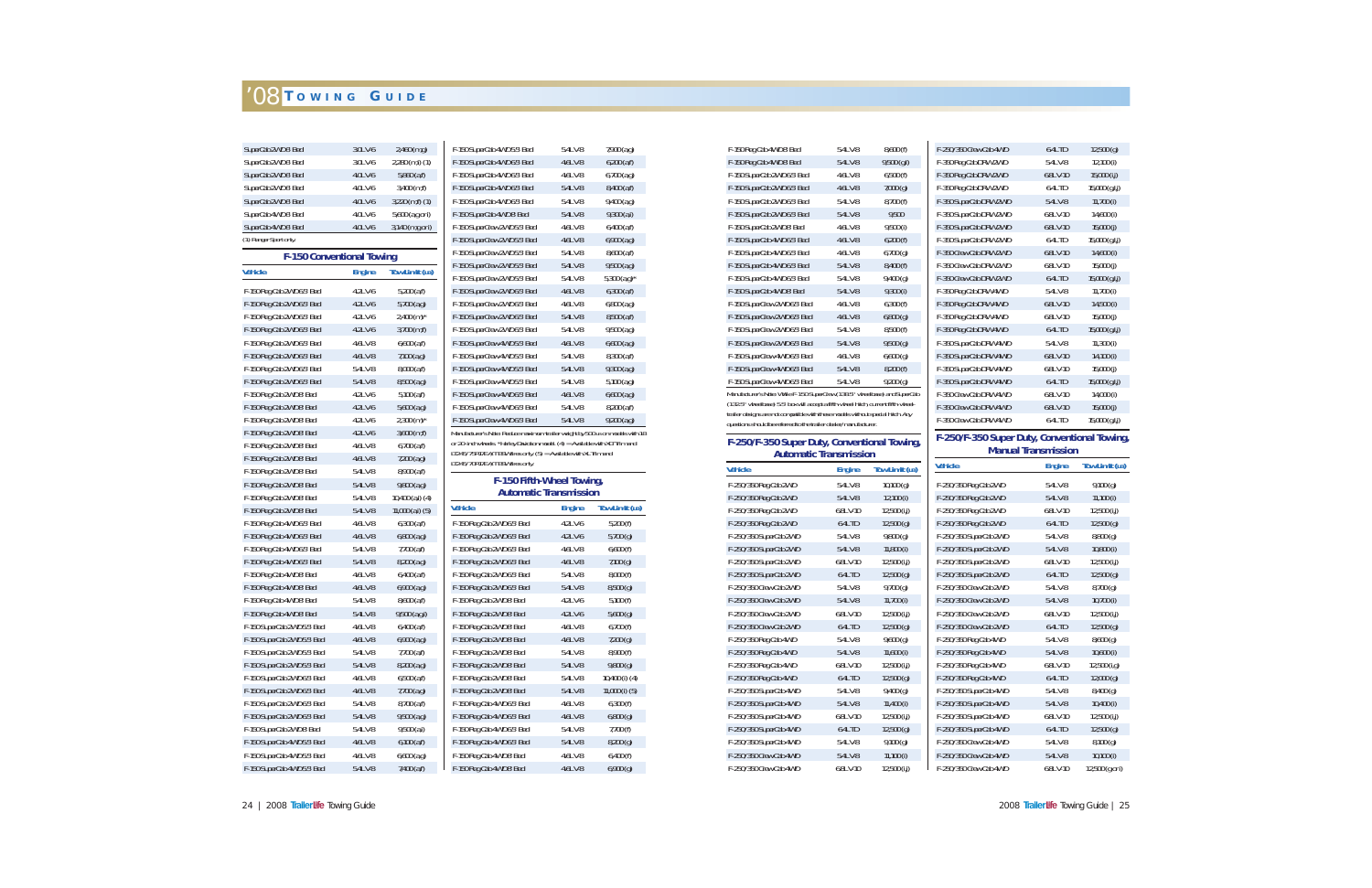| SuperCab 2WD 6' Bed              | 3.0LV-6       | 2,460 (m,g)              | F-150 SuperCab 4WD 5.5' Bed                                                                             | 5.4LV-8             | 7,900 (a,g)                       |
|----------------------------------|---------------|--------------------------|---------------------------------------------------------------------------------------------------------|---------------------|-----------------------------------|
| SuperCab 2WD 6' Bed              | 3.0LV-6       | $2,280$ (m,i) (1)        | F-150 SuperCab 4WD 6.5' Bed                                                                             | 4.6L V-8            | $6,200$ $(a,f)$                   |
| SuperCab 2WD 6' Bed              | 4.0LV-6       | $5,860$ (a,f)            | F-150 SuperCab 4WD 6.5' Bed                                                                             | 4.6L V-8            | $6,700$ (a,g)                     |
| SuperCab 2WD 6' Bed              | 4.0LV-6       | 3,400 (m,f)              | F-150 SuperCab 4WD 6.5' Bed                                                                             | 5.4LV-8             | $8,400$ (a,f)                     |
| SuperCab 2WD 6' Bed              | 4.0LV-6       | $3,220$ (m,f) $(1)$      | F-150 SuperCab 4WD 6.5' Bed                                                                             | 5.4L V-8            | $9,400$ (a,g)                     |
| SuperCab 4WD 6' Bed              | 4.0LV-6       | 5,600 (a,g or i)         | F-150 SuperCab 4WD 8' Bed                                                                               | 5.4LV-8             | $9,300$ (a,i)                     |
| SuperCab 4WD 6' Bed              | 4.0LV-6       | 3,140 (m,g or i)         | F-150 SuperCrew 2WD 5.5' Bed                                                                            | 4.6L V-8            | $6,400$ (a,f)                     |
| (1) Ranger Sport only.           |               |                          | F-150 SuperCrew 2WD 5.5' Bed                                                                            | 4.6LV-8             | $6,900$ $(a,g)$                   |
| <b>F-150 Conventional Towing</b> |               |                          | F-150 SuperCrew 2WD 5.5' Bed                                                                            | 5.4L V-8            | $8,600$ (a,f)                     |
| <b>Vehicle</b>                   | <b>Engine</b> | <b>Tow Limit (LB)</b>    | F-150 SuperCrew 2WD 5.5' Bed<br>F-150 SuperCrew 2WD 5.5' Bed                                            | 5.4LV-8<br>5.4L V-8 | $9,500$ (a,g)<br>$5,300 (a, g)^*$ |
| F-150 Reg Cab 2WD 6.5' Bed       | 4.2LV-6       | $5,200$ (a,f)            | F-150 SuperCrew 2WD 6.5' Bed                                                                            | 4.6L V-8            | $6,300$ (a,f)                     |
| F-150 Reg Cab 2WD 6.5' Bed       | 4.2LV-6       | $5,700$ (a,g)            | F-150 SuperCrew 2WD 6.5' Bed                                                                            | 4.6L V-8            | $6,800$ (a,g)                     |
| F-150 Reg Cab 2WD 6.5' Bed       | 4.2LV-6       | $2,400$ (m) <sup>*</sup> | F-150 SuperCrew 2WD 6.5' Bed                                                                            | 5.4LV-8             | $8,500$ (a,f)                     |
| F-150 Reg Cab 2WD 6.5' Bed       | 4.2LV-6       | $3,700$ (m,f)            | F-150 SuperCrew 2WD 6.5' Bed                                                                            | 5.4L V-8            | $9,500$ (a,g)                     |
| F-150 Reg Cab 2WD 6.5' Bed       | 4.6L V-8      | $6,600$ (a,f)            | F-150 SuperCrew 4WD 5.5' Bed                                                                            | 4.6LV-8             | $6,600$ (a,g)                     |
| F-150 Reg Cab 2WD 6.5' Bed       | 4.6LV-8       | $7,100$ $(a,g)$          | F-150 SuperCrew 4WD 5.5' Bed                                                                            | 5.4L V-8            | $8,300$ (a,f)                     |
| F-150 Reg Cab 2WD 6.5' Bed       | 5.4LV-8       | 8,000 (a,f)              | F-150 SuperCrew 4WD 5.5' Bed                                                                            | 5.4LV-8             | $9,300$ (a,g)                     |
| F-150 Reg Cab 2WD 6.5' Bed       | 5.4LV-8       | $8,500$ (a,g)            | F-150 SuperCrew 4WD 5.5' Bed                                                                            | 5.4L V-8            | $5,100$ (a,g)                     |
| F-150 Reg Cab 2WD 8' Bed         | 4.2LV-6       | $5,100$ (a,f)            | F-150 SuperCrew 4WD 6.5' Bed                                                                            | 4.6LV-8             | $6,600$ (a,g)                     |
| F-150 Reg Cab 2WD 8' Bed         | 4.2LV-6       | $5,600$ (a,g)            | F-150 SuperCrew 4WD 6.5' Bed                                                                            | 5.4L V-8            | 8,200 (a,f)                       |
| F-150 Reg Cab 2WD 8' Bed         | 4.2LV-6       | $2,300$ (m) <sup>*</sup> | F-150 SuperCrew 4WD 6.5' Bed                                                                            | 5.4LV-8             | $9,200$ (a,g)                     |
| F-150 Reg Cab 2WD 8' Bed         | 4.2LV-6       | $3,600$ (m,f)            | Manufacturer's Note: Reduce maximum trailer weight by 500 LB on models with                             |                     |                                   |
| F-150 Reg Cab 2WD 8' Bed         | 4.6L V-8      | $6,700$ (a,f)            | or 20-inch wheels. *Harley Davidson model. (4) = Available with XLT Trim and                            |                     |                                   |
| F-150 Reg Cab 2WD 8' Bed         | 4.6LV-8       | $7,200$ (a,g)            | LT245/75R17E A/T BSW tires only. $(5)$ = Available with XL Trim and<br>LT245/70R17E A/T BSW tires only. |                     |                                   |
| F-150 Reg Cab 2WD 8' Bed         | 5.4L V-8      | $8,900$ (a,f)            |                                                                                                         |                     |                                   |
| F-150 Reg Cab 2WD 8' Bed         | 5.4LV-8       | $9,800$ (a,g)            | F-150 Fifth-Wheel Towing,                                                                               |                     |                                   |
| F-150 Reg Cab 2WD 8' Bed         | 5.4LV-8       | 10,400 (a,i) (4)         | <b>Automatic Transmission</b>                                                                           |                     |                                   |
| F-150 Reg Cab 2WD 8' Bed         | 5.4LV-8       | $11,000$ (a,i) (5)       | <b>Vehicle</b>                                                                                          | <b>Engine</b>       | <b>Tow Limit (LB</b>              |
| F-150 Reg Cab 4WD 6.5' Bed       | 4.6L V-8      | $6,300$ (a,f)            | F-150 Reg Cab 2WD 6.5' Bed                                                                              | 4.2LV-6             | 5,200(f)                          |
| F-150 Reg Cab 4WD 6.5' Bed       | 4.6LV-8       | $6,800$ $(a,g)$          | F-150 Reg Cab 2WD 6.5' Bed                                                                              | 4.2LV-6             | $5,700$ (g)                       |
| F-150 Reg Cab 4WD 6.5' Bed       | 5.4LV-8       | $7,700$ (a,f)            | F-150 Reg Cab 2WD 6.5' Bed                                                                              | 4.6L V-8            | 6,600(f)                          |
| F-150 Reg Cab 4WD 6.5' Bed       | 5.4L V-8      | 8,200 (a.g)              | F-150 Reg Cab 2WD 6.5' Bed                                                                              | 4.6L V-8            | $7,100$ (g)                       |
| F-150 Reg Cab 4WD 8' Bed         | 4.6L V-8      | $6,400$ (a.f)            | F-150 Reg Cab 2WD 6.5' Bed                                                                              | 5.4L V-8            | 8,000(f)                          |
| F-150 Reg Cab 4WD 8' Bed         | 4.6LV-8       | $6,900$ $(a,g)$          | F-150 Reg Cab 2WD 6.5' Bed                                                                              | 5.4L V-8            | 8,500(g)                          |
| F-150 Reg Cab 4WD 8' Bed         | 5.4LV-8       | 8,600 (a,f)              | F-150 Reg Cab 2WD 8' Bed                                                                                | 4.2LV-6             | 5,100(f)                          |
| F-150 Reg Cab 4WD 8' Bed         | 5.4LV-8       | $9,500$ (a,g,i)          | F-150 Reg Cab 2WD 8' Bed                                                                                | 4.2LV-6             | 5,600(g)                          |
| F-150 SuperCab 2WD 5.5' Bed      | 4.6L V-8      | $6,400$ (a,f)            | F-150 Reg Cab 2WD 8' Bed                                                                                | 4.6L V-8            | 6,700(f)                          |
| F-150 SuperCab 2WD 5.5' Bed      | 4.6L V-8      | $6,900$ $(a,g)$          | F-150 Reg Cab 2WD 8' Bed                                                                                | 4.6LV-8             | 7,200 (g)                         |
| F-150 SuperCab 2WD 5.5' Bed      | 5.4LV-8       | 7,700 (a,f)              | F-150 Reg Cab 2WD 8' Bed                                                                                | 5.4LV-8             | 8,900 (f)                         |
| F-150 SuperCab 2WD 5.5' Bed      | 5.4LV-8       | 8,200 (a,g)              | F-150 Reg Cab 2WD 8' Bed                                                                                | 5.4LV-8             | 9,800(g)                          |
| F-150 SuperCab 2WD 6.5' Bed      | 4.6LV-8       | $6,500$ (a,f)            | F-150 Reg Cab 2WD 8' Bed                                                                                | 5.4LV-8             | 10,400 (i) (4)                    |
| F-150 SuperCab 2WD 6.5' Bed      | 4.6L V-8      | 7,700 (a,g)              | F-150 Reg Cab 2WD 8' Bed                                                                                | 5.4L V-8            | $11,000$ (i) $(5)$                |
| F-150 SuperCab 2WD 6.5' Bed      | 5.4LV-8       | $8,700$ (a,f)            | F-150 Reg Cab 4WD 6.5' Bed                                                                              | 4.6LV-8             | 6,300(f)                          |
| F-150 SuperCab 2WD 6.5' Bed      |               | $9,500$ (a,g)            | F-150 Reg Cab 4WD 6.5' Bed                                                                              | $4.6LV-8$           | 6,800(g)                          |
| F-150 SuperCab 2WD 8' Bed        | 5.4L V-8      |                          |                                                                                                         |                     |                                   |
|                                  | 5.4L V-8      | $9,500$ (a,i)            | F-150 Reg Cab 4WD 6.5' Bed                                                                              | 5.4L V-8            | 7,700(f)                          |
| F-150 SuperCab 4WD 5.5' Bed      | $4.6LV-8$     | 6,100 (a,f)              | F-150 Reg Cab 4WD 6.5' Bed                                                                              | 5.4LV-8             | 8,200(g)                          |
| F-150 SuperCab 4WD 5.5' Bed      | 4.6L V-8      | $6,600$ (a,g)            | F-150 Reg Cab 4WD 8' Bed                                                                                | 4.6L V-8            | 6,400(f)                          |

| F-150 SuperCab 4WD 6.5' Bed                                                                                                                                                                                          | 4.6LV-8       | $6,200$ $(a,f)$            |
|----------------------------------------------------------------------------------------------------------------------------------------------------------------------------------------------------------------------|---------------|----------------------------|
| F-150 SuperCab 4WD 6.5' Bed                                                                                                                                                                                          | 4.6LV-8       | $6,700$ (a,g)              |
| F-150 SuperCab 4WD 6.5' Bed                                                                                                                                                                                          | 5.4LV-8       | 8,400 (a,f)                |
| F-150 SuperCab 4WD 6.5' Bed                                                                                                                                                                                          | 5.4LV-8       | $9,400$ (a,g)              |
| F-150 SuperCab 4WD 8' Bed                                                                                                                                                                                            | 5.4LV-8       | $9,300$ (a,i)              |
| F-150 SuperCrew 2WD 5.5' Bed                                                                                                                                                                                         | 4.6LV-8       | $6,400$ (a,f)              |
| F-150 SuperCrew 2WD 5.5' Bed                                                                                                                                                                                         | 4.6LV-8       | $6,900$ $(a,g)$            |
| F-150 SuperCrew 2WD 5.5' Bed                                                                                                                                                                                         | 5.4LV-8       | $8,600$ (a,f)              |
| F-150 SuperCrew 2WD 5.5' Bed                                                                                                                                                                                         | 5.4LV-8       | $9,500$ (a,g)              |
| F-150 SuperCrew 2WD 5.5' Bed                                                                                                                                                                                         | 5.4LV-8       | 5,300 $(a,q)^*$            |
| F-150 SuperCrew 2WD 6.5' Bed                                                                                                                                                                                         | 4.6LV-8       | $6,300$ $(a,f)$            |
| F-150 SuperCrew 2WD 6.5' Bed                                                                                                                                                                                         | 4.6L V-8      | $6,800$ (a,g)              |
| F-150 SuperCrew 2WD 6.5' Bed                                                                                                                                                                                         | 5.4LV-8       | 8,500 (a,f)                |
| F-150 SuperCrew 2WD 6.5' Bed                                                                                                                                                                                         | 5.4LV-8       | $9,500$ (a,g)              |
| F-150 SuperCrew 4WD 5.5' Bed                                                                                                                                                                                         | 4.6LV-8       | $6,600$ (a,g)              |
| F-150 SuperCrew 4WD 5.5' Bed                                                                                                                                                                                         | 5.4LV-8       | 8,300 (a,f)                |
| F-150 SuperCrew 4WD 5.5' Bed                                                                                                                                                                                         | 5.4LV-8       | $9,300$ (a,g)              |
| F-150 SuperCrew 4WD 5.5' Bed                                                                                                                                                                                         | 5.4LV-8       | $5,100$ (a,g)              |
| F-150 SuperCrew 4WD 6.5' Bed                                                                                                                                                                                         | 4.6L V-8      | $6,600$ $(a,g)$            |
| F-150 SuperCrew 4WD 6.5' Bed                                                                                                                                                                                         | 5.4LV-8       | $8,200$ (a,f)              |
| F-150 SuperCrew 4WD 6.5' Bed                                                                                                                                                                                         | 5.4LV-8       | $9,200$ (a,g)              |
| or 20-inch wheels. *Harley Davidson model. $(4)$ = Available with XLT Trim and<br>LT245/75R17E A/T BSW tires only. (5) = Available with XL Trim and<br>LT245/70R17E A/T BSW tires only.<br>F-150 Fifth-Wheel Towing, |               |                            |
| <b>Automatic Transmission</b>                                                                                                                                                                                        |               |                            |
| <b>Vehicle</b>                                                                                                                                                                                                       | <b>Engine</b> |                            |
| F-150 Reg Cab 2WD 6.5' Bed                                                                                                                                                                                           | 4.2LV-6       | 5,200(f)                   |
| F-150 Reg Cab 2WD 6.5' Bed                                                                                                                                                                                           | 4.2LV-6       | $5,700$ (g)                |
| F-150 Reg Cab 2WD 6.5' Bed                                                                                                                                                                                           | 4.6LV-8       | 6,600(f)                   |
| F-150 Reg Cab 2WD 6.5' Bed                                                                                                                                                                                           | 4.6LV-8       | 7,100(g)                   |
| F-150 Reg Cab 2WD 6.5' Bed                                                                                                                                                                                           | 5.4LV-8       | 8,000 (f)                  |
| F-150 Reg Cab 2WD 6.5' Bed                                                                                                                                                                                           | 5.4LV-8       | 8,500(g)                   |
| F-150 Reg Cab 2WD 8' Bed                                                                                                                                                                                             | 4.2LV-6       | 5,100(f)                   |
| F-150 Reg Cab 2WD 8' Bed                                                                                                                                                                                             | 4.2LV-6       | 5,600(g)                   |
| F-150 Reg Cab 2WD 8' Bed                                                                                                                                                                                             | 4.6L V-8      | 6,700(f)                   |
| F-150 Reg Cab 2WD 8' Bed                                                                                                                                                                                             | 4.6LV-8       | 7,200(q)                   |
| F-150 Reg Cab 2WD 8' Bed                                                                                                                                                                                             | 5.4LV-8       | 8,900 (f)                  |
| F-150 Reg Cab 2WD 8' Bed                                                                                                                                                                                             | 5.4L V-8      | $9,800$ (g)                |
| F-150 Reg Cab 2WD 8' Bed                                                                                                                                                                                             | 5.4LV-8       | 10,400 (i) (4)             |
| F-150 Reg Cab 2WD 8' Bed                                                                                                                                                                                             | 5.4LV-8       | $11,000$ (i) $(5)$         |
| F-150 Reg Cab 4WD 6.5' Bed                                                                                                                                                                                           | 4.6LV-8       | 6,300(f)                   |
| F-150 Reg Cab 4WD 6.5' Bed                                                                                                                                                                                           | 4.6LV-8       | Tow Limit (LB)<br>6,800(g) |
| F-150 Reg Cab 4WD 6.5' Bed                                                                                                                                                                                           | 5.4LV-8       | 7,700(f)                   |
| F-150 Reg Cab 4WD 6.5' Bed                                                                                                                                                                                           | 5.4LV-8       | 8,200(g)                   |
| F-150 Reg Cab 4WD 8' Bed                                                                                                                                                                                             | 4.6LV-8       | 6,400(f)                   |

| F-150 Reg Cab 4WD 8' Bed                                                                                                                            | 5.4LV-8  | 8,600(f)      |
|-----------------------------------------------------------------------------------------------------------------------------------------------------|----------|---------------|
| F-150 Reg Cab 4WD 8' Bed                                                                                                                            | 5.4L V-8 | $9,500$ (g,l) |
| F-150 SuperCab 2WD 6.5' Bed                                                                                                                         | 4.6LV-8  | 6,500(f)      |
| F-150 SuperCab 2WD 6.5' Bed                                                                                                                         | 4.6L V-8 | 7,000(g)      |
| F-150 SuperCab 2WD 6.5' Bed                                                                                                                         | 5.4LV-8  | 8,700(f)      |
| F-150 SuperCab 2WD 6.5' Bed                                                                                                                         | 5.4L V-8 | 9,500         |
| F-150 SuperCab 2WD 8' Bed                                                                                                                           | 4.6LV-8  | $9,500$ (i)   |
| F-150 SuperCab 4WD 6.5' Bed                                                                                                                         | 4.6L V-8 | 6,200(f)      |
| F-150 SuperCab 4WD 6.5' Bed                                                                                                                         | 4.6LV-8  | 6,700(g)      |
| F-150 SuperCab 4WD 6.5' Bed                                                                                                                         | 5.4L V-8 | 8,400 (f)     |
| F-150 SuperCab 4WD 6.5' Bed                                                                                                                         | 5.4LV-8  | $9,400$ (g)   |
| F-150 SuperCab 4WD 8' Bed                                                                                                                           | 5.4L V-8 | 9,300(i)      |
| F-150 SuperCrew 2WD 6.5' Bed                                                                                                                        | 4.6LV-8  | 6,300(f)      |
| F-150 SuperCrew 2WD 6.5' Bed                                                                                                                        | 4.6L V-8 | 6,800(g)      |
| F-150 SuperCrew 2WD 6.5' Bed                                                                                                                        | 5.4LV-8  | 8,500(f)      |
| F-150 SuperCrew 2WD 6.5' Bed                                                                                                                        | 5.4L V-8 | $9,500$ (g)   |
| F-150 SuperCrew 4WD 6.5' Bed                                                                                                                        | 4.6LV-8  | 6,600(g)      |
| F-150 SuperCrew 4WD 6.5' Bed                                                                                                                        | 5.4L V-8 | 8,200(f)      |
| F-150 SuperCrew 4WD 6.5' Bed                                                                                                                        | 5.4LV-8  | 9,200(g)      |
| Manufacturer's Note: While F-150 SuperCrew (138.5" wheelbase) and SuperCab                                                                          |          |               |
| (132.5" wheelbase) 5.5' box will accept a fifth-wheel hitch, current fifth-wheel-                                                                   |          |               |
| trailer designs are not compatible with these models without special hitch. Any<br>questions should be referred to the trailer dealer/manufacturer. |          |               |
|                                                                                                                                                     |          |               |

#### **F-250/F-350 Super Duty, Conventional Towing, Automatic Transmission**

| F-250/350 Crew Cab 4WD | 6.4L TD     | $12,500$ (g)     |
|------------------------|-------------|------------------|
| F-350 Reg Cab DRW 2WD  | 5.4LV-8     | 12,100(i)        |
| F-350 Reg Cab DRW 2WD  | $6.8L$ V-10 | $15,000$ (i,j)   |
| F-350 Reg Cab DRW 2WD  | $6.4L$ TD   | 15,000(g, I, j)  |
| F-350 SuperCab DRW 2WD | 5.4L V-8    | $11,700$ (i)     |
| F-350 SuperCab DRW 2WD | $6.8L$ V-10 | 14,600 (i)       |
| F-350 SuperCab DRW 2WD | $6.8L$ V-10 | 15,000(j)        |
| F-350 SuperCab DRW 2WD | 6.4L TD     | 15,000 (g, I, j) |
| F-350 Crew Cab DRW 2WD | 6.8L V-10   | 14,600 (i)       |
| F-350 Crew Cab DRW 2WD | 6.8L V-10   | 15,000(j)        |
| F-350 Crew Cab DRW 2WD | 6.4L TD     | 15,000(g, I, j)  |
| F-350 Reg Cab DRW 4WD  | 5.4LV-8     | $11,700$ (i)     |
| F-350 Reg Cab DRW 4WD  | $6.8L$ V-10 | 14,500 (i)       |
| F-350 Reg Cab DRW 4WD  | $6.8L$ V-10 | $15,000$ (j)     |
| F-350 Reg Cab DRW 4WD  | 6.4L TD     | 15,000 (g,l,j)   |
| F-350 SuperCab DRW 4WD | 5.4LV-8     | $11,300$ (i)     |
| F-350 SuperCab DRW 4WD | $6.8L$ V-10 | $14,100$ (i)     |
| F-350 SuperCab DRW 4WD | 6.8L V-10   | 15,000(j)        |
| F-350 SuperCab DRW 4WD | $6.4L$ TD   | 15,000 (g,l,j)   |
| F-350 Crew Cab DRW 4WD | $6.8L$ V-10 | 14,000 (i)       |
| F-350 Crew Cab DRW 4WD | 6.8L V-10   | 15,000(j)        |
| F-350 Crew Cab DRW 4WD | 6.4L TD     | 15,000 (g,l,j)   |
|                        |             |                  |

| <b>Vehicle</b>         | <b>Engine</b> | Tow Limit (LB) | <b>Vehicle</b>         | <b>Engine</b> | <b>Tow Limit (LB</b> |
|------------------------|---------------|----------------|------------------------|---------------|----------------------|
| F-250/350 Reg Cab 2WD  | 5.4L V-8      | 10,100(g)      | F-250/350 Reg Cab 2WD  | 5.4LV-8       | 9,100(g)             |
| F-250/350 Reg Cab 2WD  | 5.4LV-8       | $12,100$ (i)   | F-250/350 Reg Cab 2WD  | 5.4LV-8       | $11,100$ (i)         |
| F-250/350 Reg Cab 2WD  | $6.8L$ V-10   | $12,500$ (i,j) | F-250/350 Reg Cab 2WD  | 6.8L V-10     | $12,500$ (i,j)       |
| F-250/350 Reg Cab 2WD  | 6.4L TD       | 12,500(g)      | F-250/350 Reg Cab 2WD  | 6.4L TD       | 12,500(g)            |
| F-250/350 SuperCab 2WD | 5.4LV-8       | 9,800(g)       | F-250/350 SuperCab 2WD | 5.4L V-8      | 8,800(g)             |
| F-250/350 SuperCab 2WD | 5.4LV-8       | $11,800$ (i)   | F-250/350 SuperCab 2WD | 5.4LV-8       | $10,800$ (i)         |
| F-250/350 SuperCab 2WD | 6.8L V-10     | $12,500$ (i,j) | F-250/350 SuperCab 2WD | 6.8L V-10     | 12,500 (i,j)         |
| F-250/350 SuperCab 2WD | 6.4L TD       | 12,500(g)      | F-250/350 SuperCab 2WD | 6.4L TD       | 12,500(g)            |
| F-250/350 Crew Cab 2WD | 5.4LV-8       | 9,700(g)       | F-250/350 Crew Cab 2WD | 5.4LV-8       | 8,700 (g)            |
| F-250/350 Crew Cab 2WD | 5.4LV-8       | $11,700$ (i)   | F-250/350 Crew Cab 2WD | 5.4LV-8       | $10,700$ (i)         |
| F-250/350 Crew Cab 2WD | 6.8L V-10     | $12,500$ (i,j) | F-250/350 Crew Cab 2WD | 6.8L V-10     | 12,500 (i,j)         |
| F-250/350 Crew Cab 2WD | 6.4L TD       | $12,500$ (g)   | F-250/350 Crew Cab 2WD | 6.4L TD       | $12,500$ (g)         |
| F-250/350 Reg Cab 4WD  | 5.4LV-8       | 9,600(g)       | F-250/350 Reg Cab 4WD  | 5.4L V-8      | 8,600(g)             |
| F-250/350 Reg Cab 4WD  | 5.4LV-8       | $11,600$ (i)   | F-250/350 Reg Cab 4WD  | 5.4LV-8       | $10,600$ (i)         |
| F-250/350 Reg Cab 4WD  | $6.8L$ V-10   | $12,500$ (i,j) | F-250/350 Reg Cab 4WD  | $6.8L$ V-10   | 12,500 (i,g)         |
| F-250/350 Reg Cab 4WD  | 6.4L TD       | 12,500(g)      | F-250/350 Reg Cab 4WD  | 6.4L TD       | 12,000(g)            |
| F-250/350 SuperCab 4WD | 5.4LV-8       | 9,400(g)       | F-250/350 SuperCab 4WD | 5.4L V-8      | 8,400 (g)            |
| F-250/350 SuperCab 4WD | 5.4LV-8       | $11,400$ (i)   | F-250/350 SuperCab 4WD | 5.4LV-8       | $10,400$ (i)         |
| F-250/350 SuperCab 4WD | 6.8L V-10     | 12,500 (i,j)   | F-250/350 SuperCab 4WD | 6.8L V-10     | 12,500 (i,j)         |
| F-250/350 SuperCab 4WD | 6.4L TD       | $12,500$ (g)   | F-250/350 SuperCab 4WD | 6.4L TD       | 12,500(g)            |
| F-250/350 SuperCab 4WD | 5.4LV-8       | $9,100$ (q)    | F-250/350 Crew Cab 4WD | 5.4LV-8       | 8,100(g)             |
| F-250/350 Crew Cab 4WD | 5.4L V-8      | $11,100$ (i)   | F-250/350 Crew Cab 4WD | 5.4LV-8       | $10,100$ (i)         |
| F-250/350 Crew Cab 4WD | 6.8L V-10     | 12,500 (i,j)   | F-250/350 Crew Cab 4WD | $6.8L$ V-10   | 12,500 (g or i)      |

#### **F-250/F-350 Super Duty, Conventional Towing, Manual Transmission**

| <b>Vehicle</b>         | <b>Engine</b> | <b>Tow Limit (LB)</b> |
|------------------------|---------------|-----------------------|
| F-250/350 Reg Cab 2WD  | 5.4LV-8       | $9,100$ (g)           |
| F-250/350 Reg Cab 2WD  | 5.4L V-8      | $11,100$ (i)          |
| F-250/350 Reg Cab 2WD  | 6.8L V-10     | $12,500$ (i,j)        |
| F-250/350 Reg Cab 2WD  | 6.4L TD       | 12,500(g)             |
| F-250/350 SuperCab 2WD | 5.4LV-8       | 8,800(g)              |
| F-250/350 SuperCab 2WD | 5.4LV-8       | $10,800$ (i)          |
| F-250/350 SuperCab 2WD | 6.8L V-10     | 12,500 (i,j)          |
| F-250/350 SuperCab 2WD | 6.4L TD       | 12,500(g)             |
| F-250/350 Crew Cab 2WD | 5.4LV-8       | 8,700(g)              |
| F-250/350 Crew Cab 2WD | 5.4L V-8      | $10,700$ (i)          |
| F-250/350 Crew Cab 2WD | 6.8L V-10     | 12,500 (i,j)          |
| F-250/350 Crew Cab 2WD | 6.4L TD       | 12,500(g)             |
| F-250/350 Reg Cab 4WD  | 5.4LV-8       | 8,600 (g)             |
| F-250/350 Reg Cab 4WD  | 5.4L V-8      | $10,600$ (i)          |
| F-250/350 Reg Cab 4WD  | 6.8L V-10     | 12,500 (i,g)          |
| F-250/350 Reg Cab 4WD  | 6.4L TD       | 12,000(g)             |
| F-250/350 SuperCab 4WD | 5.4LV-8       | 8,400(g)              |
| F-250/350 SuperCab 4WD | 5.4L V-8      | 10,400 (i)            |
| F-250/350 SuperCab 4WD | 6.8L V-10     | 12,500(i,j)           |
| F-250/350 SuperCab 4WD | 6.4L TD       | 12,500(g)             |
| F-250/350 Crew Cab 4WD | 5.4LV-8       | 8,100(g)              |
| F-250/350 Crew Cab 4WD | 5.4L V-8      | $10,100$ (i)          |
| F-250/350 Crew Cab 4WD | 681 V-10      | 12500 (a or i)        |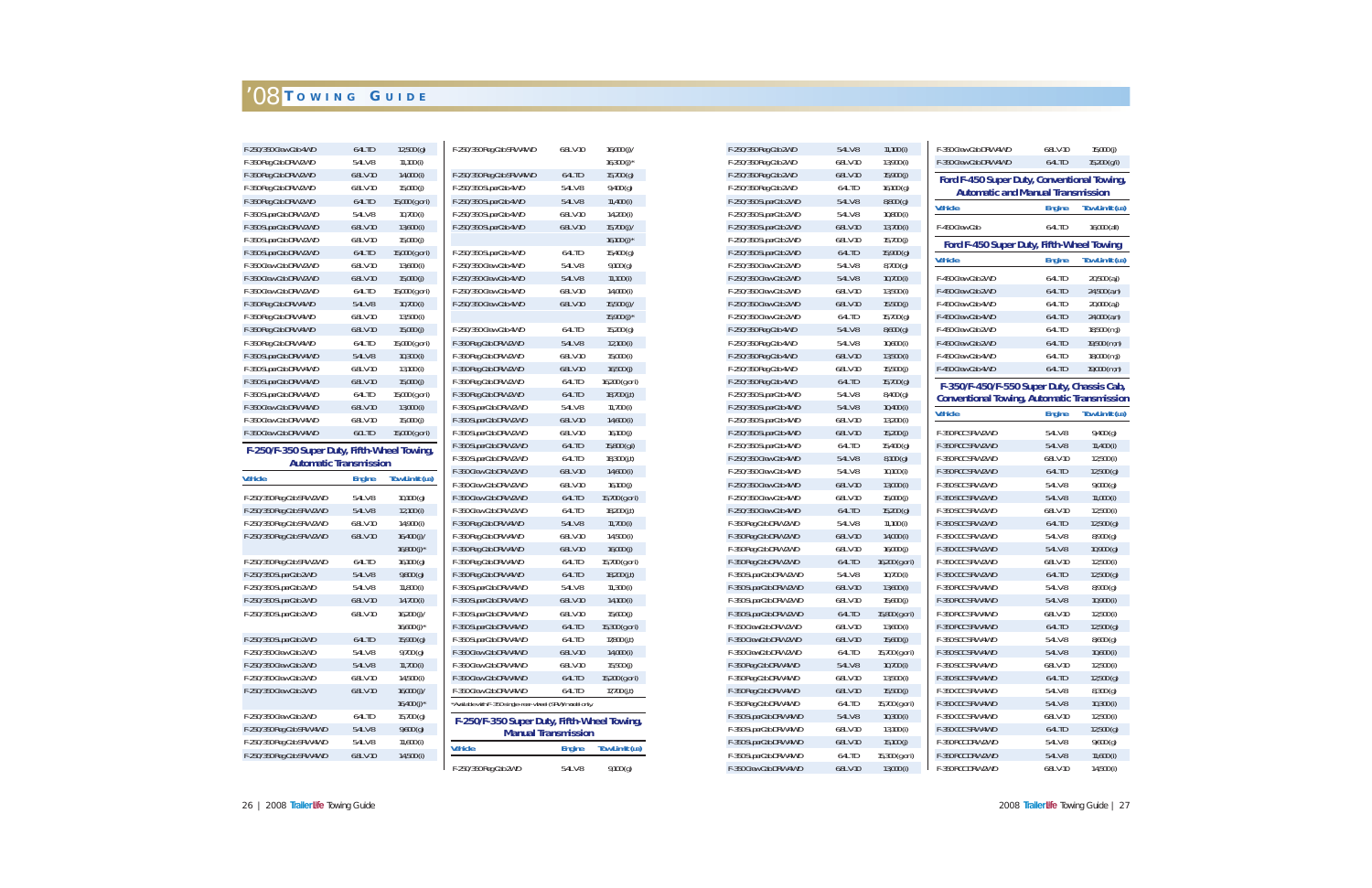| F-250/350 Crew Cab 4WD                      | 6.4L TD       | 12,500(g)                 | F-250/350 Reg Cab SRW 4WD                                 | 6.8LV-10                   | 16,000(j)/                | F-250/350 Reg Cab 2WD  | 5.4LV-8   | $11,100$ (i)    | F-350 Crew Cab DRW 4WD                             | 6.8L V-10     | 15,000(j)             |
|---------------------------------------------|---------------|---------------------------|-----------------------------------------------------------|----------------------------|---------------------------|------------------------|-----------|-----------------|----------------------------------------------------|---------------|-----------------------|
| F-350 Reg Cab DRW 2WD                       | 5.4LV-8       | $11,100$ (i)              |                                                           |                            | 16,300 $(j)$ <sup>*</sup> | F-250/350 Reg Cab 2WD  | 6.8LV-10  | 13,900 (i)      | F-350 Crew Cab DRW 4WD                             | 6.4L TD       | 15,200 (g/i)          |
| F-350 Reg Cab DRW 2WD                       | 6.8L V-10     | 14,000 (i)                | F-250/350 Reg Cab SRW 4WD                                 | 6.4L TD                    | 15,700(g)                 | F-250/350 Reg Cab 2WD  | 6.8LV-10  | 15,900(j)       | Ford F-450 Super Duty, Conventional Towing,        |               |                       |
| F-350 Reg Cab DRW 2WD                       | 6.8L V-10     | 15,000(j)                 | F-250/350 SuperCab 4WD                                    | 5.4LV-8                    | 9,400(g)                  | F-250/350 Reg Cab 2WD  | 6.4L TD   | 16,100(g)       | <b>Automatic and Manual Transmission</b>           |               |                       |
| F-350 Reg Cab DRW 2WD                       | 6.4L TD       | 15,000 (g or i)           | F-250/350 SuperCab 4WD                                    | 5.4LV-8                    | $11,400$ (i)              | F-250/350 SuperCab 2WD | 5.4LV-8   | 8,800(g)        | <b>Vehicle</b>                                     |               |                       |
| F-350 SuperCab DRW 2WD                      | 5.4LV-8       | $10,700$ (i)              | F-250/350 SuperCab 4WD                                    | 6.8LV-10                   | 14,200 (i)                | F-250/350 SuperCab 2WD | 5.4LV-8   | $10,800$ (i)    |                                                    | <b>Engine</b> | <b>Tow Limit (LB)</b> |
| F-350 SuperCab DRW 2WD                      | 6.8L V-10     | 13,600 (i)                | F-250/350 SuperCab 4WD                                    | 6.8L V-10                  | 15,700(j)                 | F-250/350 SuperCab 2WD | 6.8L V-10 | $13,700$ (i)    | F-450 Crew Cab                                     | 6.4L TD       | 16,000 (all)          |
| F-350 SuperCab DRW 2WD                      | 6.8LV-10      | 15,000(j)                 |                                                           |                            | 16,100 $(j)$ *            | F-250/350 SuperCab 2WD | 6.8LV-10  | 15,700(j)       | Ford F-450 Super Duty, Fifth-Wheel Towing          |               |                       |
| F-350 SuperCab DRW 2WD                      | 6.4L TD       | 15,000 (g or i)           | F-250/350 SuperCab 4WD                                    | 6.4L TD                    | 15,400 (g)                | F-250/350 SuperCab 2WD | 6.4L TD   | 15,900 (g)      |                                                    |               |                       |
| F-350 Crew Cab DRW 2WD                      | 6.8L V-10     | $13,600$ (i)              | F-250/350 Crew Cab 4WD                                    | 5.4LV-8                    | 9,100(g)                  | F-250/350 Crew Cab 2WD | 5.4LV-8   | 8,700(g)        | <b>Vehicle</b>                                     | <b>Engine</b> | Tow Limit (LB)        |
| F-350 Crew Cab DRW 2WD                      | 6.8L V-10     | 15,000(j)                 | F-250/350 Crew Cab 4WD                                    | 5.4LV-8                    | $11,100$ (i)              | F-250/350 Crew Cab 2WD | 5.4LV-8   | $10,700$ (i)    | F-450 Crew Cab 2WD                                 | 6.4L TD       | $20,500$ $(a, j)$     |
| F-350 Crew Cab DRW 2WD                      | 6.4L TD       | 15,000 (g or i)           | F-250/350 Crew Cab 4WD                                    | 6.8LV-10                   | 14,000 (i)                | F-250/350 Crew Cab 2WD | 6.8LV-10  | $13,500$ (i)    | F-450 Crew Cab 2WD                                 | 6.4L TD       | 24,500 (a,n)          |
| F-350 Reg Cab DRW 4WD                       | 5.4LV-8       | $10,700$ (i)              | F-250/350 Crew Cab 4WD                                    | 6.8L V-10                  | $15,500$ (j)/             | F-250/350 Crew Cab 2WD | 6.8L V-10 | 15.500(j)       | F-450 Crew Cab 4WD                                 | 6.4L TD       | $20,000$ $(a,j)$      |
| F-350 Reg Cab DRW 4WD                       | 6.8LV-10      | 13,500 (i)                |                                                           |                            | 15,900 $(i)$ *            | F-250/350 Crew Cab 2WD | 6.4L TD   | 15,700(g)       | F-450 Crew Cab 4WD                                 | 6.4L TD       | $24,000$ (a,n)        |
| F-350 Reg Cab DRW 4WD                       | 6.8L V-10     | 15,000(j)                 | F-250/350 Crew Cab 4WD                                    | 6.4L TD                    | 15,200(g)                 | F-250/350 Reg Cab 4WD  | 5.4LV-8   | 8,600(g)        | F-450 Crew Cab 2WD                                 | 6.4L TD       | $18,500$ (m,j)        |
| F-350 Reg Cab DRW 4WD                       | 6.4L TD       | 15,000 (g or i)           | F-350 Reg Cab DRW 2WD                                     | 5.4LV-8                    | $12,100$ (i)              | F-250/350 Reg Cab 4WD  | 5.4LV-8   | $10,600$ (i)    | F-450 Crew Cab 2WD                                 | 6.4L TD       | 19,500 (m,n)          |
| F-350 SuperCab DRW 4WD                      | 5.4LV-8       | $10,300$ (i)              | F-350 Reg Cab DRW 2WD                                     | 6.8L V-10                  | $15,000$ (i)              | F-250/350 Reg Cab 4WD  | 6.8L V-10 | $13,500$ (i)    | F-450 Crew Cab 4WD                                 | 6.4L TD       | $18,000$ (m,j)        |
| F-350 SuperCab DRW 4WD                      | 6.8LV-10      | $13,100$ (i)              | F-350 Reg Cab DRW 2WD                                     | 6.8LV-10                   | 16,500(j)                 | F-250/350 Reg Cab 4WD  | 6.8LV-10  | 15,500(j)       | F-450 Crew Cab 4WD                                 | 6.4L TD       | 19,000 (m,n)          |
| F-350 SuperCab DRW 4WD                      | 6.8L V-10     | 15,000(j)                 | F-350 Reg Cab DRW 2WD                                     | 6.4L TD                    | 16,200 (g or i)           | F-250/350 Reg Cab 4WD  | 6.4L TD   | 15,700(g)       | F-350/F-450/F-550 Super Duty, Chassis Cab,         |               |                       |
| F-350 SuperCab DRW 4WD                      | 6.4L TD       | 15,000 (g or i)           | F-350 Reg Cab DRW 2WD                                     | 6.4L TD                    | 18,700(j,t)               | F-250/350 SuperCab 4WD | 5.4LV-8   | 8,400(g)        | <b>Conventional Towing, Automatic Transmission</b> |               |                       |
| F-350 Crew Cab DRW 4WD                      | 6.8L V-10     | 13,000 (i)                | F-350 SuperCab DRW 2WD                                    | 5.4LV-8                    | $11,700$ (i)              | F-250/350 SuperCab 4WD | 5.4LV-8   | $10,400$ (i)    |                                                    |               |                       |
| F-350 Crew Cab DRW 4WD                      | 6.8L V-10     | 15,000(j)                 | F-350 SuperCab DRW 2WD                                    | 6.8L V-10                  | $14,600$ (i)              | F-250/350 SuperCab 4WD | 6.8LV-10  | $13,200$ (i)    | <b>Vehicle</b>                                     | <b>Engine</b> | Tow Limit (LB)        |
| F-350 Crew Cab DRW 4WD                      | 6.0L TD       | 15,000 (g or i)           | F-350 SuperCab DRW 2WD                                    | 6.8LV-10                   | 16,100(j)                 | F-250/350 SuperCab 4WD | 6.8L V-10 | 15,200(j)       | F-350 RCC SRW 2WD                                  | 5.4LV-8       | 9,400(g)              |
| F-250/F-350 Super Duty, Fifth-Wheel Towing, |               |                           | F-350 SuperCab DRW 2WD                                    | 6.4L TD                    | $15,800$ (g,i)            | F-250/350 SuperCab 4WD | 6.4L TD   | 15,400 (g)      | F-350 RCC SRW 2WD                                  | 5.4LV-8       | $11,400$ (i)          |
| <b>Automatic Transmission</b>               |               |                           | F-350 SuperCab DRW 2WD                                    | 6.4L TD                    | 18,300 (j,t)              | F-250/350 Crew Cab 4WD | 5.4LV-8   | 8,100(g)        | F-350 RCC SRW 2WD                                  | 6.8L V-10     | $12,500$ (i)          |
| <b>Vehicle</b>                              |               | <b>Tow Limit (LB)</b>     | F-350 Crew Cab DRW 2WD                                    | 6.8L V-10                  | $14,600$ (i)              | F-250/350 Crew Cab 4WD | 5.4LV-8   | $10,100$ (i)    | F-350 RCC SRW 2WD                                  | 6.4L TD       | 12,500(g)             |
|                                             | <b>Engine</b> |                           | F-350 Crew Cab DRW 2WD                                    | 6.8LV-10                   | 16,100(j)                 | F-250/350 Crew Cab 4WD | 6.8LV-10  | $13,000$ (i)    | F-350 SCC SRW 2WD                                  | 5.4LV-8       | 9,000(g)              |
| F-250/350 Reg Cab SRW 2WD                   | 5.4LV-8       | 10,100(g)                 | F-350 Crew Cab DRW 2WD                                    | 6.4L TD                    | 15,700 (g or i)           | F-250/350 Crew Cab 4WD | 6.8L V-10 | 15,000(j)       | F-350 SCC SRW 2WD                                  | 5.4LV-8       | $11,000$ (i)          |
| F-250/350 Reg Cab SRW 2WD                   | 5.4LV-8       | $12,100$ (i)              | F-350 Crew Cab DRW 2WD                                    | 6.4L TD                    | 18,200 (j,t)              | F-250/350 Crew Cab 4WD | 6.4L TD   | 15,200(g)       | F-350 SCC SRW 2WD                                  | 6.8L V-10     | $12,500$ (i)          |
| F-250/350 Reg Cab SRW 2WD                   | 6.8L V-10     | 14,900 (i)                | F-350 Reg Cab DRW 4WD                                     | 5.4LV-8                    | $11,700$ (i)              | F-350 Reg Cab DRW 2WD  | 5.4LV-8   | $11,100$ (i)    | F-350 SCC SRW 2WD                                  | 6.4L TD       | 12,500(g)             |
| F-250/350 Reg Cab SRW 2WD                   | 6.8L V-10     | 16,400(j)                 | F-350 Reg Cab DRW 4WD                                     | 6.8LV-10                   | $14,500$ (i)              | F-350 Reg Cab DRW 2WD  | 6.8L V-10 | 14,000 (i)      | F-350 CCC SRW 2WD                                  | 5.4LV-8       | 8,900(g)              |
|                                             |               | 16,800 $(i)$ <sup>*</sup> | F-350 Reg Cab DRW 4WD                                     | 6.8LV-10                   | 16,000(j)                 | F-350 Reg Cab DRW 2WD  | 6.8LV-10  | 16,000(j)       | F-350 CCC SRW 2WD                                  | 5.4LV-8       | 10,900(g)             |
| F-250/350 Reg Cab SRW 2WD                   | 6.4L TD       | 16,100(g)                 | F-350 Reg Cab DRW 4WD                                     | 6.4L TD                    | 15,700 (g or i)           | F-350 Reg Cab DRW 2WD  | 6.4L TD   | 16,200 (g or i) | F-350 CCC SRW 2WD                                  | 6.8LV-10      | $12,500$ (i)          |
| F-250/350 SuperCab 2WD                      | 5.4LV-8       | 9,800(g)                  | F-350 Reg Cab DRW 4WD                                     | 6.4L TD                    | 18,200(j,t)               | F-350 SuperCab DRW 2WD | 5.4LV-8   | $10,700$ (i)    | F-350 CCC SRW 2WD                                  | 6.4L TD       | $12,500$ (g)          |
| F-250/350 SuperCab 2WD                      | 5.4LV-8       | $11,800$ (i)              | F-350 SuperCab DRW 4WD                                    | 5.4LV-8                    | $11,300$ (i)              | F-350 SuperCab DRW 2WD | 6.8L V-10 | $13,600$ (i)    | F-350 RCC SRW 4WD                                  | 5.4LV-8       | 8,900(g)              |
| F-250/350 SuperCab 2WD                      | 6.8L V-10     | 14,700 (i)                | F-350 SuperCab DRW 4WD                                    | 6.8LV-10                   | $14,100$ (i)              | F-350 SuperCab DRW 2WD | 6.8LV-10  | 15,600(j)       | F-350 RCC SRW 4WD                                  | 5.4LV-8       | $10,900$ (i)          |
| F-250/350 SuperCab 2WD                      | 6.8L V-10     | 16,200(j)/                | F-350 SuperCab DRW 4WD                                    | 6.8LV-10                   | 15,600(j)                 | F-350 SuperCab DRW 2WD | 6.4L TD   | 15,800 (g or i) | F-350 RCC SRW 4WD                                  | 6.8L V-10     | $12,500$ (i)          |
|                                             |               | 16,600 $(i)$ <sup>*</sup> | F-350 SuperCab DRW 4WD                                    | 6.4L TD                    | 15,300 (g or i)           | F-350 CrewCab DRW 2WD  | 6.8L V-10 | $13,600$ (i)    | F-350 RCC SRW 4WD                                  | 6.4L TD       | 12,500(g)             |
| F-250/350 SuperCab 2WD                      | 6.4L TD       | 15,900(g)                 | F-350 SuperCab DRW 4WD                                    | 6.4L TD                    | 17,800 (j,t)              | F-350 CrewCab DRW 2WD  | 6.8LV-10  | 15,600(j)       | F-350 SCC SRW 4WD                                  | 5.4LV-8       | 8,600(g)              |
| F-250/350 Crew Cab 2WD                      | 5.4LV-8       | 9,700(g)                  | F-350 Crew Cab DRW 4WD                                    | 6.8L V-10                  | 14,000(i)                 | F-350 CrewCab DRW 2WD  | 6.4L TD   | 15,700 (g or i) | F-350 SCC SRW 4WD                                  | 5.4LV-8       | $10,600$ (i)          |
| F-250/350 Crew Cab 2WD                      | 5.4LV-8       | $11,700$ (i)              | F-350 Crew Cab DRW 4WD                                    | 6.8LV-10                   | 15,500(j)                 | F-350 Reg Cab DRW 4WD  | 5.4LV-8   | $10,700$ (i)    | F-350 SCC SRW 4WD                                  | 6.8LV-10      | $12,500$ (i)          |
| F-250/350 Crew Cab 2WD                      | 6.8LV-10      | 14,500 (i)                | F-350 Crew Cab DRW 4WD                                    | 6.4L TD                    | 15,200 (g or i)           | F-350 Reg Cab DRW 4WD  | 6.8LV-10  | $13,500$ (i)    | F-350 SCC SRW 4WD                                  | 6.4L TD       | 12,500(g)             |
| F-250/350 Crew Cab 2WD                      | 6.8LV-10      | 16,000(j)/                | F-350 Crew Cab DRW 4WD                                    | 6.4L TD                    | 17,700 $(j,t)$            | F-350 Reg Cab DRW 4WD  | 6.8LV-10  | 15,500(j)       | F-350 CCC SRW 4WD                                  | 5.4LV-8       | 8,300(g)              |
|                                             |               | 16,400 $(j)$ *            | *Available with F-350 single-rear-wheel (SRW) model only. |                            |                           | F-350 Reg Cab DRW 4WD  | 6.4L TD   | 15,700 (g or i) | F-350 CCC SRW 4WD                                  | 5.4LV-8       | $10,300$ (i)          |
| F-250/350 Crew Cab 2WD                      | 6.4L TD       | 15,700(g)                 | F-250/F-350 Super Duty, Fifth-Wheel Towing,               |                            |                           | F-350 SuperCab DRW 4WD | 5.4LV-8   | $10,300$ (i)    | F-350 CCC SRW 4WD                                  | 6.8LV-10      | $12,500$ (i)          |
| F-250/350 Reg Cab SRW 4WD                   | 5.4LV-8       | 9,600(g)                  |                                                           | <b>Manual Transmission</b> |                           | F-350 SuperCab DRW 4WD | 6.8LV-10  | $13,100$ (i)    | F-350 CCC SRW 4WD                                  | 6.4L TD       | 12,500(g)             |
| F-250/350 Reg Cab SRW 4WD                   | 5.4LV-8       | $11,600$ (i)              | <b>Vehicle</b>                                            | <b>Engine</b>              | Tow Limit (LB)            | F-350 SuperCab DRW 4WD | 6.8LV-10  | 15,100(j)       | F-350 RCC DRW 2WD                                  | 5.4LV-8       | 9,600(g)              |
| F-250/350 Reg Cab SRW 4WD                   | 6.8L V-10     | 14,500 (i)                |                                                           |                            |                           | F-350 SuperCab DRW 4WD | 6.4L TD   | 15,300 (g or i) | F-350 RCC DRW 2WD                                  | 5.4LV-8       | $11,600$ (i)          |
|                                             |               |                           | F-250/350 Reg Cab 2WD                                     | 5.4LV-8                    | 9,100(g)                  | F-350 Crew Cab DRW 4WD | 6.8L V-10 | $13,000$ (i)    | F-350 RCC DRW 2WD                                  | 6.8L V-10     | 14,500(i)             |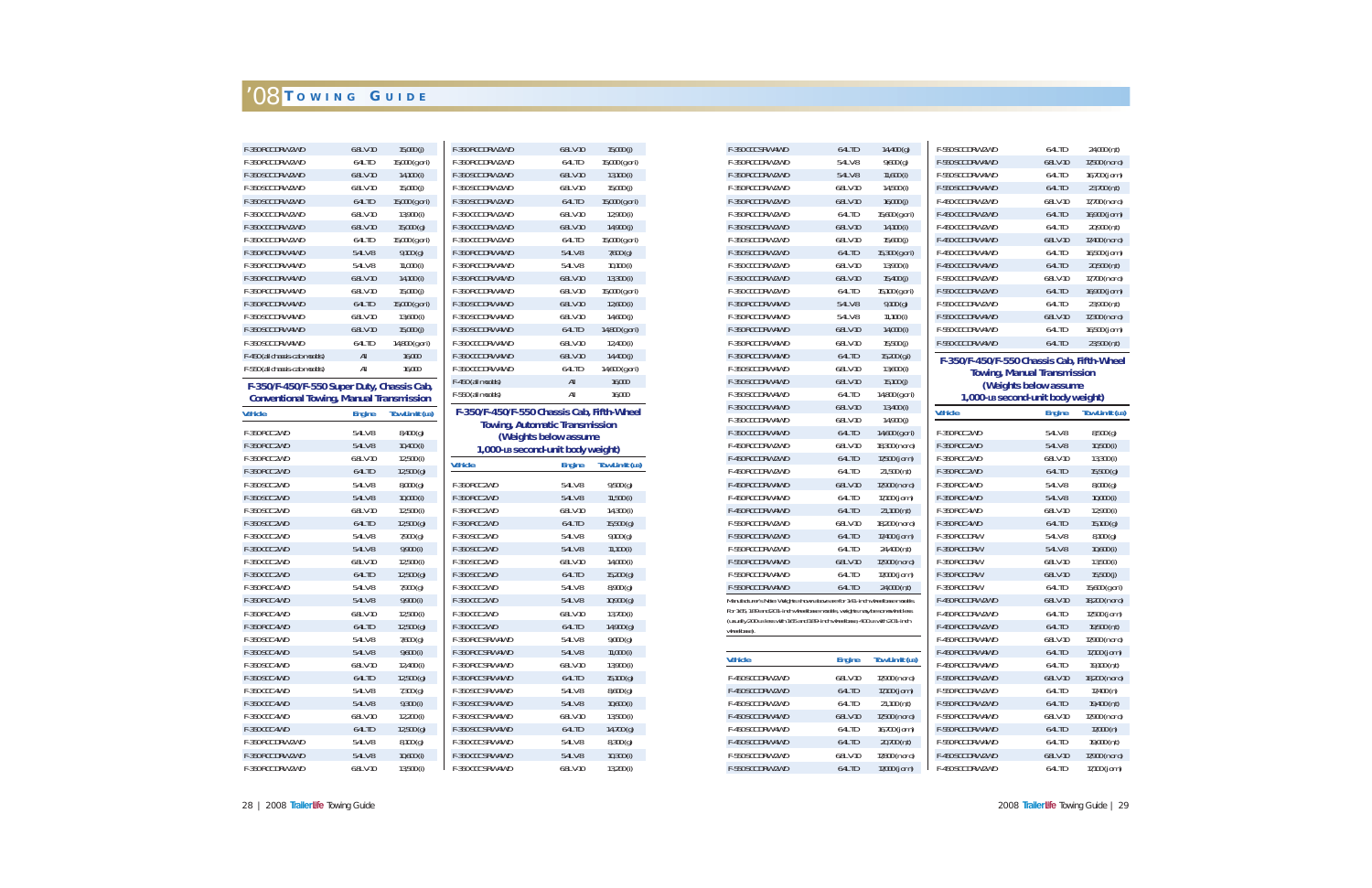| F-350 RCC DRW 2WD                                                        | 6.8L V-10           | 15,000 (j)                 | F-350 RCC DRW 2WD                          | 6.8L V-10                             | 15,000(j)                  |
|--------------------------------------------------------------------------|---------------------|----------------------------|--------------------------------------------|---------------------------------------|----------------------------|
| F-350 RCC DRW 2WD                                                        | 6.4L TD             | 15,000 (g or i)            | F-350 RCC DRW 2WD                          | 6.4L TD                               | 15,000 (g or i)            |
| F-350 SCC DRW 2WD                                                        | 6.8L V-10           | 14,100 (i)                 | F-350 SCC DRW 2WD                          | 6.8L V-10                             | $13,100$ (i)               |
| F-350 SCC DRW 2WD                                                        | 6.8L V-10           | 15,000(j)                  | F-350 SCC DRW 2WD                          | 6.8L V-10                             | 15,000(j)                  |
| F-350 SCC DRW 2WD                                                        | 6.4L TD             | 15,000 (g or i)            | F-350 SCC DRW 2WD                          | 6.4L TD                               | 15,000 (g or i)            |
| F-350 CCC DRW 2WD                                                        | 6.8L V-10           | 13,900 (i)                 | F-350 CCC DRW 2WD                          | 6.8L V-10                             | 12,900 (i)                 |
| F-350 CCC DRW 2WD                                                        | 6.8L V-10           | 15,000(g)                  | F-350 CCC DRW 2WD                          | 6.8L V-10                             | 14,900 (j)                 |
| F-350 CCC DRW 2WD                                                        | 6.4L TD             | 15,000 (g or i)            | F-350 CCC DRW 2WD                          | 6.4L TD                               | 15,000 (g or i)            |
| F-350 RCC DRW 4WD                                                        | 5.4LV-8             | 9,100(g)                   | F-350 RCC DRW 4WD                          | 5.4LV-8                               | 7,600(g)                   |
| F-350 RCC DRW 4WD                                                        | 5.4L V-8            | 11,000(i)                  | F-350 RCC DRW 4WD                          | 5.4L V-8                              | $10,100$ (i)               |
| F-350 RCC DRW 4WD                                                        | 6.8L V-10           | 14,100(i)                  | F-350 RCC DRW 4WD                          | 6.8L V-10                             | 13,300 (i)                 |
| F-350 RCC DRW 4WD                                                        | 6.8L V-10           | 15,000(j)                  | F-350 RCC DRW 4WD                          | 6.8L V-10                             | 15,000 (g or i)            |
| F-350 RCC DRW 4WD                                                        | 6.4L TD             | 15,000 (g or i)            | F-350 SCC DRW 4WD                          | 6.8L V-10                             | $12,600$ (i)               |
| F-350 SCC DRW 4WD                                                        | 6.8L V-10           | $13,600$ (i)               | F-350 SCC DRW 4WD                          | 6.8L V-10                             | 14,600 (j)                 |
| F-350 SCC DRW 4WD                                                        | 6.8L V-10           | 15,000(j)                  | F-350 SCC DRW 4WD                          | 6.4L TD                               | 14,800 (g or i)            |
| F-350 SCC DRW 4WD                                                        | 6.4L TD             | 14,800 (g or i)            | F-350 CCC DRW 4WD                          | 6.8L V-10                             | 12,400 (i)                 |
| F-450 (all chassis-cab models)                                           | $\mathsf{All}$      | 16,000                     | F-350 CCC DRW 4WD                          | 6.8L V-10                             | 14,400 (j)                 |
| F-550 (all chassis-cab models)                                           | All                 | 16,000                     | F-350 CCC DRW 4WD                          | 6.4L TD                               | 14,600 (g or i)            |
| F-350/F-450/F-550 Super Duty, Chassis Cab,                               |                     |                            | F-450 (all models)                         | All                                   | 16,000                     |
| <b>Conventional Towing, Manual Transmission</b>                          |                     |                            | F-550 (all models)                         | All                                   | 16,000                     |
| <b>Vehicle</b>                                                           | <b>Engine</b>       | <b>Tow Limit (LB)</b>      | F-350/F-450/F-550 Chassis Cab, Fifth-Wheel |                                       |                            |
| F-350 RCC 2WD                                                            | 5.4LV-8             | 8,400(g)                   |                                            | <b>Towing, Automatic Transmission</b> |                            |
| F-350 RCC 2WD                                                            | 5.4LV-8             | $10,400$ (i)               |                                            | (Weights below assume                 |                            |
| F-350 RCC 2WD                                                            | 6.8L V-10           | 12,500(i)                  | 1,000-LB second-unit body weight)          |                                       |                            |
|                                                                          |                     |                            | <b>Vehicle</b>                             | <b>Engine</b>                         | <b>Tow Limit (LB)</b>      |
|                                                                          |                     |                            |                                            |                                       |                            |
| F-350 RCC 2WD<br>F-350 SCC 2WD                                           | 6.4L TD             | 12,500(g)                  |                                            |                                       |                            |
| F-350 SCC 2WD                                                            | 5.4LV-8<br>5.4L V-8 | 8,000(g)                   | F-350 RCC 2WD<br>F-350 RCC 2WD             | 5.4LV-8<br>5.4LV-8                    | 9,500(g)                   |
| F-350 SCC 2WD                                                            | 6.8L V-10           | $10,000$ (i)               | F-350 RCC 2WD                              | 6.8L V-10                             | $11,500$ (i)               |
| F-350 SCC 2WD                                                            | 6.4L TD             | 12,500 (i)                 | F-350 RCC 2WD                              | 6.4L TD                               | 14,300 (i)                 |
| F-350 CCC 2WD                                                            | 5.4LV-8             | 12,500(g)                  | F-350 SCC 2WD                              | 5.4LV-8                               | 15,500(g)                  |
| F-350 CCC 2WD                                                            | 5.4LV-8             | 7,900 (g)<br>9,900 (i)     | F-350 SCC 2WD                              | 5.4LV-8                               | 9,100(g)<br>$11,100$ (i)   |
| F-350 CCC 2WD                                                            | 6.8L V-10           | $12,500$ (i)               | F-350 SCC 2WD                              | 6.8L V-10                             |                            |
| F-350 CCC 2WD                                                            | 6.4L TD             | 12,500(g)                  | F-350 SCC 2WD                              | 6.4L TD                               | 14,000 (i)<br>15,200(g)    |
| F-350 RCC 4WD                                                            | 5.4L V-8            | 7,900 (g)                  | F-350 CCC 2WD                              | 5.4L V-8                              | 8,900 (g)                  |
| F-350 RCC 4WD                                                            | 5.4LV-8             | 9,900 (i)                  | F-350 CCC 2WD                              | 5.4LV-8                               | 10,900(g)                  |
| F-350 RCC 4WD                                                            | 6.8L V-10           | $12,500$ (i)               | F-350 CCC 2WD                              | 6.8L V-10                             | 13,700 (i)                 |
| F-350 RCC 4WD                                                            | 6.4L TD             | 12,500(g)                  | F-350 CCC 2WD                              | 6.4L TD                               | 14,900 (g)                 |
| F-350 SCC 4WD                                                            | 5.4LV-8             | 7,600 (g)                  | F-350 RCC SRW 4WD                          | 5.4LV-8                               | 9,000(g)                   |
| F-350 SCC 4WD                                                            | 5.4L V-8            | $9,600$ (i)                | F-350 RCC SRW 4WD                          | 5.4LV-8                               | $11,000$ (i)               |
| F-350 SCC 4WD                                                            | 6.8L V-10           | 12,400 (i)                 | F-350 RCC SRW 4WD                          | 6.8L V-10                             | 13,900 (i)                 |
| F-350 SCC 4WD                                                            | 6.4L TD             | 12,500(g)                  | F-350 RCC SRW 4WD                          | 6.4L TD                               | 15,100(g)                  |
| <b>F-350 CCC 4WD</b>                                                     | 5.4L V-8            | $7,300$ (g)                | F-350 SCC SRW 4WD                          | 5.4L V-8                              | 8,600(g)                   |
|                                                                          | 5.4LV-8             | $9,300$ (i)                | F-350 SCC SRW 4WD                          | 5.4LV-8                               | $10,600$ (i)               |
|                                                                          | 6.8LV-10            | $12,200$ (i)               | F-350 SCC SRW 4WD                          | 6.8LV-10                              | 13,500 (i)                 |
| F-350 CCC 4WD                                                            | 6.4L TD             | 12,500(g)                  | F-350 SCC SRW 4WD                          | 6.4L TD                               | 14,700 (g)                 |
|                                                                          | 5.4L V-8            | 8,100(g)                   | F-350 CCC SRW 4WD                          | 5.4LV-8                               | 8,300(g)                   |
| F-350 CCC 4WD<br>F-350 CCC 4WD<br>F-350 RCC DRW 2WD<br>F-350 RCC DRW 2WD | 5.4LV-8             | $10,600$ (i)<br>13,500 (i) | F-350 CCC SRW 4WD<br>F-350 CCC SRW 4WD     | 5.4LV-8                               | $10,300$ (i)<br>13,200 (i) |

| F-350 RCC DRW 2WD                                                                   | 6.4L TD               | 15,000 (g or i)       |
|-------------------------------------------------------------------------------------|-----------------------|-----------------------|
| F-350 SCC DRW 2WD                                                                   | 6.8L V-10             | 13,100 (i)            |
| F-350 SCC DRW 2WD                                                                   | $6.8L$ V-10           | 15,000(j)             |
| F-350 SCC DRW 2WD                                                                   | 6.4L TD               | 15,000 (g or i)       |
| F-350 CCC DRW 2WD                                                                   | 6.8L V-10             | 12,900 (i)            |
| F-350 CCC DRW 2WD                                                                   | 6.8L V-10             | 14,900 (j)            |
| F-350 CCC DRW 2WD                                                                   | 6.4L TD               | 15,000 (g or i)       |
| F-350 RCC DRW 4WD                                                                   | 5.4LV-8               | 7,600(g)              |
| F-350 RCC DRW 4WD                                                                   | 5.4LV-8               | $10,100$ (i)          |
| F-350 RCC DRW 4WD                                                                   | 6.8LV-10              | 13,300 (i)            |
| F-350 RCC DRW 4WD                                                                   | 6.8L V-10             | 15,000 (g or i)       |
| F-350 SCC DRW 4WD                                                                   | 6.8L V-10             | 12,600(i)             |
| F-350 SCC DRW 4WD                                                                   | 6.8L V-10             | 14,600 (j)            |
| F-350 SCC DRW 4WD                                                                   | 6.4L TD               | 14,800 (g or i)       |
| F-350 CCC DRW 4WD                                                                   | 6.8L V-10             | 12,400 (i)            |
| F-350 CCC DRW 4WD                                                                   | 6.8L V-10             | 14,400 (j)            |
| F-350 CCC DRW 4WD                                                                   | 6.4L TD               | 14,600 (g or i)       |
| F-450 (all models)                                                                  | All                   | 16,000                |
|                                                                                     |                       |                       |
| F-550 (all models)                                                                  | All                   | 16,000                |
| F-350/F-450/F-550 Chassis Cab, Fifth-Wheel<br><b>Towing, Automatic Transmission</b> |                       |                       |
| 1,000-LB second-unit body weight)                                                   | (Weights below assume |                       |
|                                                                                     | <b>Engine</b>         | <b>Tow Limit (LB)</b> |
| <b>F-350 RCC 2WD</b>                                                                | 5.4L V-8              | 9,500(g)              |
| F-350 RCC 2WD                                                                       | 5.4LV-8               | $11,500$ (i)          |
| F-350 RCC 2WD                                                                       | 6.8L V-10             | 14,300 (i)            |
| F-350 RCC 2WD                                                                       | 6.4L TD               | 15,500 (g)            |
| F-350 SCC 2WD                                                                       | 5.4LV-8               | 9,100(g)              |
| F-350 SCC 2WD                                                                       | 5.4LV-8               | $11,100$ (i)          |
| Vehicle<br>F-350 SCC 2WD                                                            | 6.8L V-10             | 14,000 (i)            |
| F-350 SCC 2WD                                                                       | 6.4L TD               | 15,200(g)             |
| F-350 CCC 2WD                                                                       | 5.4L V-8              | 8,900(g)              |
| F-350 CCC 2WD                                                                       | 5.4L V-8              | 10,900 (g)            |
| F-350 CCC 2WD                                                                       | 6.8L V-10             | 13,700 (i)            |
| F-350 CCC 2WD                                                                       | 6.4L TD               | 14,900 (g)            |
| F-350 RCC SRW 4WD                                                                   | 5.4L V-8              | 9,000(g)              |

| F-350 CCC SRW 4WD                                                                                                                                      | 6.4L TD       | 14,400(q)             | F-550 SCC DRW 2WD    |
|--------------------------------------------------------------------------------------------------------------------------------------------------------|---------------|-----------------------|----------------------|
| F-350 RCC DRW 2WD                                                                                                                                      | 5.4LV-8       | 9,600(g)              | F-550 SCC DRW 4WD    |
| F-350 RCC DRW 2WD                                                                                                                                      | 5.4LV-8       | $11,600$ (i)          | F-550 SCC DRW 4WD    |
| F-350 RCC DRW 2WD                                                                                                                                      | $6.8L$ V-10   | 14,500 (i)            | F-550 SCC DRW 4WD    |
| F-350 RCC DRW 2WD                                                                                                                                      | 6.8L V-10     | 16,000(j)             | F-450 CCC DRW 2WD    |
| F-350 RCC DRW 2WD                                                                                                                                      | 6.4L TD       | 15,600 (g or i)       | F-450 CCC DRW 2WD    |
| F-350 SCC DRW 2WD                                                                                                                                      | 6.8L V-10     | 14,100 (i)            | F-450 CCC DRW 2WD    |
| F-350 SCC DRW 2WD                                                                                                                                      | $6.8L$ V-10   | 15,600(j)             | F-450 CCC DRW 4WD    |
| F-350 SCC DRW 2WD                                                                                                                                      | 6.4L TD       | 15,300 (g or i)       | F-450 CCC DRW 4WD    |
| F-350 CCC DRW 2WD                                                                                                                                      | $6.8L$ V-10   | 13,900 (i)            | F-450 CCC DRW 4WD    |
| F-350 CCC DRW 2WD                                                                                                                                      | $6.8L$ V-10   | $15,400$ (j)          | F-550 CCC DRW 2WD    |
| F-350 CCC DRW 2WD                                                                                                                                      | 6.4L TD       | 15,100 (g or i)       | F-550 CCC DRW 2WD    |
| F-350 RCC DRW 4WD                                                                                                                                      | 5.4L V-8      | 9,100(g)              | F-550 CCC DRW 2WD    |
| F-350 RCC DRW 4WD                                                                                                                                      | 5.4LV-8       | $11,100$ (i)          | F-550 CCC DRW 4WD    |
| F-350 RCC DRW 4WD                                                                                                                                      | 6.8L V-10     | 14,000 (i)            | F-550 CCC DRW 4WD    |
| F-350 RCC DRW 4WD                                                                                                                                      | $6.8L$ V-10   | $15,500$ (j)          | F-550 CCC DRW 4WD    |
| F-350 RCC DRW 4WD                                                                                                                                      | 6.4L TD       | 15,200 (g,i)          | F-350/F-450/F-55     |
| F-350 SCC DRW 4WD                                                                                                                                      | 6.8L V-10     | 13,600 (i)            | <b>Towing, Ma</b>    |
| F-350 SCC DRW 4WD                                                                                                                                      | $6.8L$ V-10   | 15,100(j)             | (Weight              |
| F-350 SCC DRW 4WD                                                                                                                                      | 6.4L TD       | 14,800 (g or i)       | 1,000-LB Seco        |
| F-350 CCC DRW 4WD                                                                                                                                      | 6.8L V-10     | 13,400 (i)            | <b>Vehicle</b>       |
| F-350 CCC DRW 4WD                                                                                                                                      | 6.8L V-10     | 14,900 (j)            |                      |
| F-350 CCC DRW 4WD                                                                                                                                      | 6.4L TD       | 14,600 (g or i)       | <b>F-350 RCC 2WD</b> |
| F-450 RCC DRW 2WD                                                                                                                                      | 6.8L V-10     | 18,300 (n or o)       | F-350 RCC 2WD        |
| F-450 RCC DRW 2WD                                                                                                                                      | $6.4L$ TD     | 17,500 (j or n)       | F-350 RCC 2WD        |
| F-450 RCC DRW 2WD                                                                                                                                      | 6.4L TD       | 21,500(n,t)           | F-350 RCC 2WD        |
| F-450 RCC DRW 4WD                                                                                                                                      | 6.8L V-10     | 17,900 (n or o)       | F-350 RCC 4WD        |
| F-450 RCC DRW 4WD                                                                                                                                      | 6.4L TD       | 17,100 (j or n)       | F-350 RCC 4WD        |
| F-450 RCC DRW 4WD                                                                                                                                      | 6.4L TD       | 21,100(n,t)           | <b>F-350 RCC 4WD</b> |
| F-550 RCC DRW 2WD                                                                                                                                      | 6.8L V-10     | 18,200 (n or o)       | F-350 RCC 4WD        |
| F-550 RCC DRW 2WD                                                                                                                                      | 6.4L TD       | 17,400 (j or n)       | F-350 RCC DRW        |
| F-550 RCC DRW 2WD                                                                                                                                      | 6.4L TD       | 24,400 (n,t)          | F-350 RCC DRW        |
| F-550 RCC DRW 4WD                                                                                                                                      | 6.8L V-10     | 17,900 (n or o)       | F-350 RCC DRW        |
| F-550 RCC DRW 4WD                                                                                                                                      | 6.4L TD       | 17,000 (j or n)       | F-350 RCC DRW        |
| F-550 RCC DRW 4WD                                                                                                                                      | 6.4L TD       | 24,000 (n,t)          | F-350 RCC DRW        |
| Manufacturer's Note: Weights shown above are for 141-inch wheelbase models.                                                                            |               |                       | F-450 RCC DRW 2WD    |
| For 165, 189 and 201-inch wheelbase models, weights may be somewhat less<br>(usually 200 LB less with 165 and 189-inch wheelbase, 400 LB with 201-inch |               |                       | F-450 RCC DRW 2WD    |
| wheelbase).                                                                                                                                            |               |                       | F-450 RCC DRW 2WD    |
|                                                                                                                                                        |               |                       | F-450 RCC DRW 4WD    |
| Vehicle                                                                                                                                                | <b>Engine</b> | <b>Tow Limit (LB)</b> | F-450 RCC DRW 4WD    |
|                                                                                                                                                        |               |                       | F-450 RCC DRW 4WD    |
| F-450 SCC DRW 2WD                                                                                                                                      | 6.8L V-10     | 17,900 (n or o)       | F-550 RCC DRW 2WD    |
| F-450 SCC DRW 2WD                                                                                                                                      | 6.4L TD       | 17,100 (j or n)       | F-550 RCC DRW 2WD    |
| F-450 SCC DRW 2WD                                                                                                                                      | 6.4L TD       | 21,100(n,t)           | F-550 RCC DRW 2WD    |
| F-450 SCC DRW 4WD                                                                                                                                      | 6.8L V-10     | 17,500 (n or o)       | F-550 RCC DRW 4WD    |
| F-450 SCC DRW 4WD                                                                                                                                      | 6.4L TD       | 16,700 (j or n)       | F-550 RCC DRW 4WD    |
| F-450 SCC DRW 4WD                                                                                                                                      | 6.4L TD       | 20,700 (n,t)          | F-550 RCC DRW 4WD    |
| F-550 SCC DRW 2WD                                                                                                                                      | 6.8L V-10     | 17,800 (n or o)       | F-450 SCC DRW 2WD    |
| F-550 SCC DRW 2WD                                                                                                                                      | 6.4L TD       | 17,000 (j or n)       | F-450 SCC DRW 2WD    |

| F-550 SCC DRW 2WD | 6.4L TD     | 24,000 (n,t)    |
|-------------------|-------------|-----------------|
| F-550 SCC DRW 4WD | $6.8L$ V-10 | 17,500 (n or o) |
| F-550 SCC DRW 4WD | $6.4L$ TD   | 16,700 (j or n) |
| F-550 SCC DRW 4WD | 6.4L TD     | $23,700$ (n,t)  |
| F-450 CCC DRW 2WD | 6.8L V-10   | 17,700 (n or o) |
| F-450 CCC DRW 2WD | 6.4L TD     | 16,900 (j or n) |
| F-450 CCC DRW 2WD | 6.4L TD     | 20,900(n,t)     |
| F-450 CCC DRW 4WD | 6.8L V-10   | 17,400 (n or o) |
| F-450 CCC DRW 4WD | $6.4L$ TD   | 16,500 (j or n) |
| F-450 CCC DRW 4WD | 6.4L TD     | 20,500(n,t)     |
| F-550 CCC DRW 2WD | $6.8L$ V-10 | 17,700 (n or o) |
| F-550 CCC DRW 2WD | $6.4L$ TD   | 16,900 (j or n) |
| F-550 CCC DRW 2WD | $6.4L$ TD   | 23,900(n,t)     |
| F-550 CCC DRW 4WD | 6.8L V-10   | 17,300 (n or o) |
| F-550 CCC DRW 4WD | 6.4L TD     | 16,500 (j or n) |
| F-550 CCC DRW 4WD | $6.4L$ TD   | 23,500(n,t)     |
|                   |             |                 |

#### **F-350/F-450/F-550 Chassis Cab, Fifth-Wheel Towing, Manual Transmission (Weights below assume 1,000-LB second-unit body weight)**

| <b>Vehicle</b>       | <b>Engine</b> | Tow Limit (LB)  |
|----------------------|---------------|-----------------|
| <b>F-350 RCC 2WD</b> | 5.4L V-8      | 8,500(q)        |
| F-350 RCC 2WD        | 5.4L V-8      | $10,500$ (i)    |
| F-350 RCC 2WD        | 6.8L V-10     | 13,300 (i)      |
| F-350 RCC 2WD        | 6.4L TD       | 15,500(g)       |
| F-350 RCC 4WD        | 5.4LV-8       | 8,000(q)        |
| F-350 RCC 4WD        | 5.4L V-8      | $10,000$ (i)    |
| <b>F-350 RCC 4WD</b> | 6.8L V-10     | 12,900 (i)      |
| <b>F-350 RCC 4WD</b> | 6.4L TD       | 15,100(g)       |
| F-350 RCC DRW        | 5.4LV-8       | 8,100(g)        |
| F-350 RCC DRW        | 5.4L V-8      | $10,600$ (i)    |
| F-350 RCC DRW        | 6.8L V-10     | 13,500 (i)      |
| F-350 RCC DRW        | $6.8L$ V-10   | 15,500(j)       |
| F-350 RCC DRW        | $6.4L$ TD     | 15,600 (g or i) |
| F-450 RCC DRW 2WD    | 6.8L V-10     | 18,200 (n or o) |
| F-450 RCC DRW 2WD    | $6.4L$ TD     | 17,500 (j or n) |
| F-450 RCC DRW 2WD    | $6.4L$ TD     | 19,500 (n,t)    |
| F-450 RCC DRW 4WD    | $6.8L$ V-10   | 17,900 (n or o) |
| F-450 RCC DRW 4WD    | 6.4L TD       | 17,100 (j or n) |
| F-450 RCC DRW 4WD    | 6.4L TD       | 19,100(n,t)     |
| F-550 RCC DRW 2WD    | 6.8L V-10     | 18,200 (n or o) |
| F-550 RCC DRW 2WD    | $6.4L$ TD     | 17,400(n)       |
| F-550 RCC DRW 2WD    | $6.4L$ TD     | 19,400 (n,t)    |
| F-550 RCC DRW 4WD    | 6.8L V-10     | 17,900 (n or o) |
| F-550 RCC DRW 4WD    | 6.4L TD       | 17,000(n)       |
| F-550 RCC DRW 4WD    | 6.4L TD       | 19,000 (n,t)    |
| F-450 SCC DRW 2WD    | $6.8L$ V-10   | 17,900 (n or o) |
| F-450 SCC DRW 2WD    | 6.4L TD       | 17,100 (j or n) |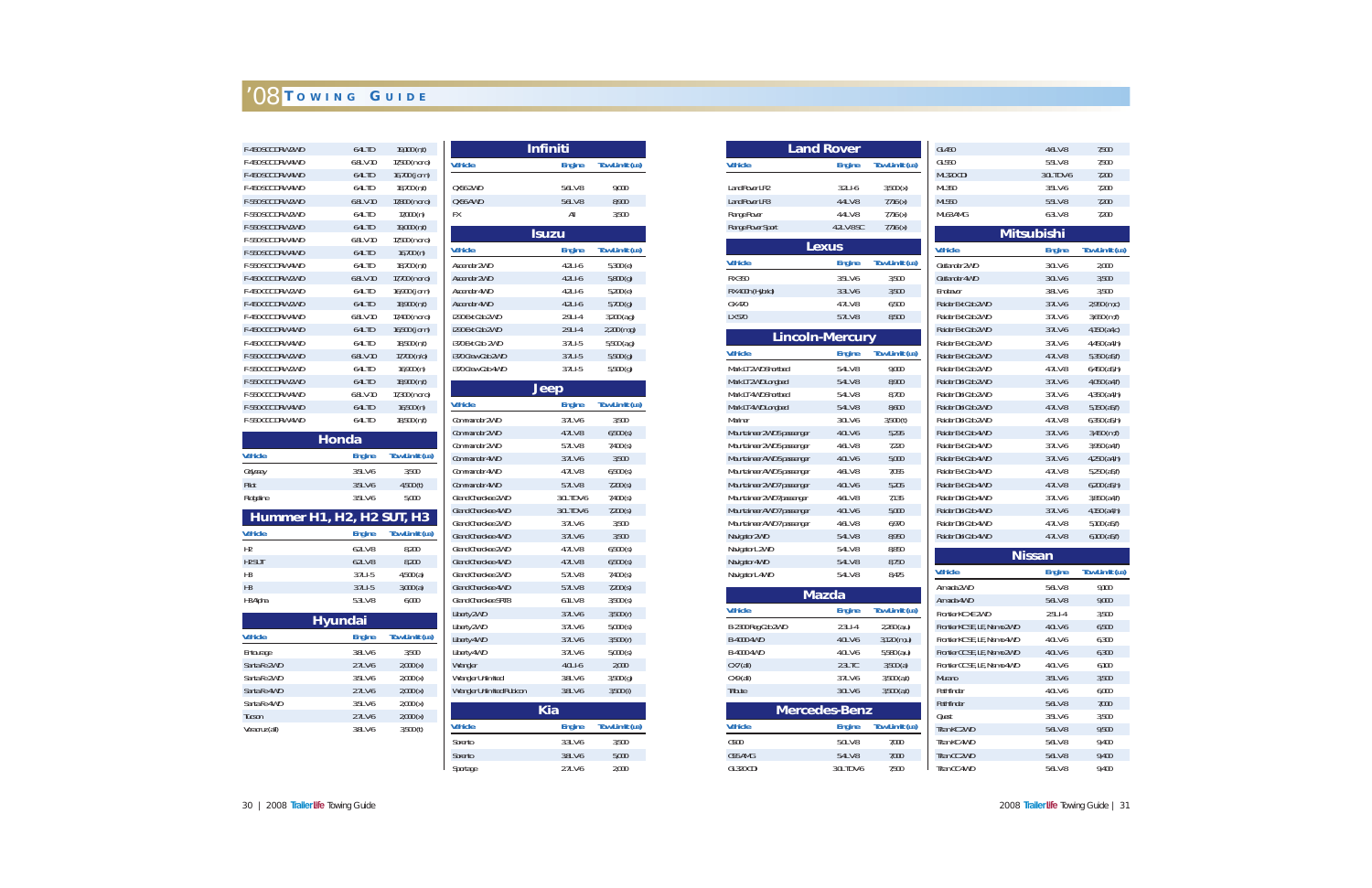| F-450 SCC DRW 2WD | 6.4L TD     | 19,100(n,t)           |
|-------------------|-------------|-----------------------|
| F-450 SCC DRW 4WD | $6.8L$ V-10 | 17,500 (n or o)       |
| F-450 SCC DRW 4WD | $6.4L$ TD   | 16,700 (j or n)       |
| F-450 SCC DRW 4WD | $6.4L$ TD   | 18,700 (n,t)          |
| F-550 SCC DRW 2WD | $6.8L$ V-10 | 17,800 (n or o)       |
| F-550 SCC DRW 2WD | $6.4L$ TD   | 17,000(n)             |
| F-550 SCC DRW 2WD | 6.4L TD     | 19,000 (n,t)          |
| F-550 SCC DRW 4WD | $6.8L$ V-10 | 17,500 (n or o)       |
| F-550 SCC DRW 4WD | 6.4L TD     | 16,700(n)             |
| F-550 SCC DRW 4WD | 6.4L TD     | 18,700(n,t)           |
| F-450 CCC DRW 2WD | $6.8L$ V-10 | 17,700 (n or o)       |
| F-450 CCC DRW 2WD | $6.4L$ TD   | 16,900 (j or n)       |
| F-450 CCC DRW 2WD | 6.4L TD     | 18,900 (n,t)          |
| F-450 CCC DRW 4WD | $6.8L$ V-10 | 17,400 (n or o)       |
| F-450 CCC DRW 4WD | 6.4L TD     | 16,500 ( $j$ or $n$ ) |
| F-450 CCC DRW 4WD | 6.4L TD     | 18,500(n,t)           |
| F-550 CCC DRW 2WD | $6.8L$ V-10 | 17,700 (n/o)          |
| F-550 CCC DRW 2WD | $6.4L$ TD   | 16,900(n)             |
| F-550 CCC DRW 2WD | $6.4L$ TD   | 18,900 (n,t)          |
| F-550 CCC DRW 4WD | $6.8L$ V-10 | 17,300 (n or o)       |
| F-550 CCC DRW 4WD | 6.4L TD     | 16,500(n)             |
| F-550 CCC DRW 4WD | 6.4L TD     | 18,500(n,t)           |
|                   |             |                       |

| <b>Honda</b>   |               |                |  |
|----------------|---------------|----------------|--|
| <b>Vehicle</b> | <b>Engine</b> | Tow Limit (LB) |  |
| Odyssey        | 3.5LV-6       | 3.500          |  |
| Pilot          | 3.5LV-6       | 4,500(t)       |  |
| Ridgeline      | 3.5LV-6       | 5,000          |  |

| Hummer H1, H2, H2 SUT, H3 |               |                |  |  |
|---------------------------|---------------|----------------|--|--|
| <b>Vehicle</b>            | <b>Engine</b> | Tow Limit (LB) |  |  |
| H <sub>2</sub>            | $6.21$ V-8    | 8.200          |  |  |
| H <sub>2</sub> SUT        | $6.2L$ V-8    | 8.200          |  |  |
| H3                        | $3.71$ $-5$   | 4,500(a)       |  |  |
| H <sub>3</sub>            | $3.7L$ I-5    | 3,000(a)       |  |  |
| H <sub>3</sub> Alpha      | 5.3LV-8       | 6,000          |  |  |

| <b>Hyundai</b> |               |                |  |
|----------------|---------------|----------------|--|
| <b>Vehicle</b> | <b>Engine</b> | Tow Limit (LB) |  |
| Entourage      | 3.8LV-6       | 3.500          |  |
| Santa Fe 2WD   | $2.7LV-6$     | 2,000(x)       |  |
| Santa Fe 2WD   | 3.5LV-6       | 2,000(x)       |  |
| Santa Fe 4WD   | $2.7LV-6$     | 2,000(x)       |  |
| Santa Fe 4WD   | 3.5LV-6       | 2,000(x)       |  |
| <b>Tucson</b>  | $2.7LV-6$     | 2,000(x)       |  |
| Veracruz (all) | 3.8LV-6       | 3,500(t)       |  |

|                            | <b>Infiniti</b> |                       |
|----------------------------|-----------------|-----------------------|
| <b>Vehicle</b>             | <b>Engine</b>   | <b>Tow Limit (LB)</b> |
| 0X56 2WD                   | 5.6LV-8         | 9,000                 |
| QX56 AWD                   | 5.6LV-8         | 8,900                 |
| FX                         | All             | 3,500                 |
|                            | <b>Isuzu</b>    |                       |
| <b>Vehicle</b>             | <b>Engine</b>   | Tow Limit (LB)        |
| Ascender 2WD               | $4.2L$ I-6      | 5,300(e)              |
| <b>Ascender 2WD</b>        | $4.2L$ I-6      | $5,800$ (g)           |
| Ascender 4WD               | 4.2LI-6         | 5,200(e)              |
| Ascender 4WD               | 4.2LI-6         | 5,700(g)              |
| i290 Ext Cab 2WD           | 2.9LI-4         | $3,200$ (a,g)         |
| i290 Ext Cab 2WD           | 2.9LI-4         | 2,200 (m,g)           |
| i370 Ext Cab 2WD           | 3.7LI-5         | $5,500$ (a,g)         |
| i370 Crew Cab 2WD          | 3.7LI-5         | $5,500$ (g)           |
| i370 Crew Cab 4WD          | $3.7LI-5$       | 5,500(g)              |
|                            | <b>Jeep</b>     |                       |
| <b>Vehicle</b>             | <b>Engine</b>   | <b>Tow Limit (LB)</b> |
| Commander 2WD              | 3.7LV-6         | 3,500                 |
| Commander 2WD              | 4.7LV-8         | 6,500(s)              |
| Commander 2WD              | 5.7LV-8         | $7,400$ (s)           |
| Commander 4WD              | 3.7LV-6         | 3,500                 |
| Commander 4WD              | 4.7LV-8         | 6,500(s)              |
| Commander 4WD              | 5.7LV-8         | $7,200$ (s)           |
| Grand Cherokee 2WD         | 3.0L TD V-6     | 7,400(s)              |
| Grand Cherokee 4WD         | 3.0L TD V-6     | $7,200$ (s)           |
| Grand Cherokee 2WD         | 3.7LV-6         | 3,500                 |
| <b>Grand Cherokee 4WD</b>  | 3.7LV-6         | 3,500                 |
| Grand Cherokee 2WD         | 4.7LV-8         | 6,500(s)              |
| Grand Cherokee 4WD         | 4.7LV-8         | 6,500(s)              |
| Grand Cherokee 2WD         | 5.7LV-8         | $7,400$ (s)           |
| Grand Cherokee 4WD         | 5.7LV-8         | $7,200$ (s)           |
| <b>Grand Cherokee SRT8</b> | 6.1LV-8         | $3,500$ (s)           |
| Liberty 2WD                | 3.7LV-6         | 3,500(r)              |
| Liberty 2WD                | 3.7LV-6         | 5,000(s)              |
| Liberty 4WD                | 3.7LV-6         | 3,500(r)              |
| Liberty 4WD                | 3.7LV-6         | 5,000(s)              |
| Wrangler                   | $4.0L$ I-6      | 2,000                 |
| <b>Wrangler Unlimited</b>  | 3.8LV-6         | 3,500(g)              |
| Wrangler Unlimited Rubicon | 3.8LV-6         | $3,500$ (i)           |
|                            | <b>Kia</b>      |                       |
| <b>Vehicle</b>             | <b>Engine</b>   | Tow Limit (LB)        |
| Sorento                    | 3.3LV-6         | 3,500                 |
| Sorento                    | 3.8LV-6         | 5,000                 |
| Sportage                   | 2.7LV-6         | 2,000                 |

|                             | <b>Land Rover</b>      |                              | GL450                                                        |  |
|-----------------------------|------------------------|------------------------------|--------------------------------------------------------------|--|
| <b>Vehicle</b>              | <b>Engine</b>          | Tow Limit (LB)               | GI550                                                        |  |
|                             |                        |                              | <b>ML320 CDI</b>                                             |  |
| Land Rover LR2              | $3.2L$ $-6$            | 3,500(x)                     | ML350                                                        |  |
| <b>Land Rover LR3</b>       | 4.4L V-8               | 7,716(x)                     | ML550                                                        |  |
| Range Rover                 | 4.4L V-8               | 7,716(x)                     | ML63 AMG                                                     |  |
| Range Rover Sport           | 4.2L V-8 SC            | 7,716(x)                     | M                                                            |  |
|                             | <b>Lexus</b>           |                              | <b>Vehicle</b>                                               |  |
| <b>Vehicle</b>              | <b>Engine</b>          | <b>Tow Limit (LB)</b>        | Outlander 2WD                                                |  |
| <b>RX 350</b>               | 3.5LV-6                | 3,500                        | Outlander 4WD                                                |  |
| RX 400h (Hybrid)            | 3.3LV-6                | 3,500                        | Fndeavor                                                     |  |
| GX 470                      | 4.7LV-8                | 6,500                        | Raider Ext Cab 2WD                                           |  |
| LX 570                      | 5.7LV-8                | 8,500                        | Raider Ext Cab 2WD                                           |  |
|                             |                        |                              | Raider Ext Cab 2WD                                           |  |
|                             | <b>Lincoln-Mercury</b> |                              | Raider Ext Cab 2WD                                           |  |
| <b>Vehicle</b>              | <b>Engine</b>          | <b>Tow Limit (LB)</b>        | Raider Ext Cab 2WD                                           |  |
| Mark LT 2WD Shortbed        | 5.4L V-8               | 9,000                        | Raider Ext Cab 2WD                                           |  |
| Mark LT 2WD Longbed         | 5.4LV-8                | 8,900                        | Raider Dbl Cab 2WD                                           |  |
| Mark IT 4WD Shortbed        | 5.4L V-8               | 8,700                        | Raider Dbl Cab 2WD                                           |  |
| Mark LT 4WD Longbed         | 5.4L V-8               | 8,600                        | Raider Dbl Cab 2WD                                           |  |
| <b>Mariner</b>              | 3.0LV-6                | 3,500(t)                     | Raider Dbl Cab 2WD                                           |  |
| Mountaineer 2WD 5 passenger | 4.0LV-6                | 5,295                        | Raider Ext Cab 4WD                                           |  |
| Mountaineer 2WD 5 passenger | 4.6L V-8               | 7,220                        | Raider Ext Cab 4WD                                           |  |
| Mountaineer AWD 5 passenger | 4.0LV-6                | 5,000                        | Raider Ext Cab 4WD                                           |  |
| Mountaineer AWD 5 passenger | 4.6L V-8               | 7,055                        | Raider Ext Cab 4WD                                           |  |
| Mountaineer 2WD 7 passenger | 4.0LV-6                | 5,205                        | Raider Ext Cab 4WD                                           |  |
| Mountaineer 2WD 7passenger  | 4.6L V-8               | 7,135                        | Raider Dbl Cab 4WD                                           |  |
| Mountaineer AWD 7 passenger | 4.0LV-6                | 5,000                        | Raider Dbl Cab 4WD                                           |  |
| Mountaineer AWD 7 passenger | 4.6L V-8               | 6,970                        | Raider Dbl Cab 4WD                                           |  |
| Navigator 2WD               | 5.4L V-8               | 8,950                        | Raider Dbl Cab 4WD                                           |  |
| Navigator L 2WD             | 5.4L V-8               | 8,850                        |                                                              |  |
| Navigator 4WD               | 5.4L V-8               | 8,750                        |                                                              |  |
| Navigator L 4WD             | 5.4LV-8                | 8,475                        | <b>Vehicle</b>                                               |  |
|                             | <b>Mazda</b>           |                              | Armada 2WD                                                   |  |
| <b>Vehicle</b>              | <b>Engine</b>          | Tow Limit (LB)               | Armada 4WD                                                   |  |
| B-2300 Reg Cab 2WD          | $2.3LI-4$              | $2,260$ (a,u)                | Frontier KC XE 2WD                                           |  |
| B-4000 4WD                  | 4.0LV-6                |                              | Frontier KC SE, LE, Nismo 2V<br>Frontier KC SE, LE, Nismo 4V |  |
| B-4000 4WD                  | 4.0LV-6                | 3,120 (m,u)<br>$5,580$ (a,u) |                                                              |  |
| $CX7$ (all)                 | $2.3L$ TC              | 3,500(a)                     | Frontier CC SE, LE, Nismo 2V                                 |  |
|                             | 3.7LV-6                | $3,500$ (a,t)                | Frontier CC SE, LE, Nismo 4V<br><b>Murano</b>                |  |
| $CX9$ (all)<br>Tribute      | 3.0LV-6                | $3,500$ (a,t)                | Pathfinder                                                   |  |
|                             |                        |                              | Pathfinder                                                   |  |
|                             | <b>Mercedes-Benz</b>   |                              | Quest                                                        |  |
| <b>Vehicle</b>              | <b>Engine</b>          | Tow Limit (LB)               | Titan KC 2WD                                                 |  |
| G500                        | 5.0LV-8                | 7,000                        | Titan KC 4WD                                                 |  |
| G55 AMG                     | 5.4LV-8                | 7,000                        | Titan CC 2WD                                                 |  |
| GL320 CDI                   | 3.0L TD V-6            | 7,500                        | Titan CC 4WD                                                 |  |
|                             |                        |                              |                                                              |  |

| GL450                         | $4.6LV-8$     | 7,500                 |  |  |  |  |  |  |  |
|-------------------------------|---------------|-----------------------|--|--|--|--|--|--|--|
| GL550                         | 5.5LV-8       | 7,500                 |  |  |  |  |  |  |  |
| <b>ML320 CDI</b>              | 3.0L TD V-6   | 7,200                 |  |  |  |  |  |  |  |
| ML350                         | 3.5LV-6       | 7,200                 |  |  |  |  |  |  |  |
| ML550                         | 5.5LV-8       | 7,200                 |  |  |  |  |  |  |  |
| ML63 AMG                      | $6.3L$ V-8    | 7,200                 |  |  |  |  |  |  |  |
| <b>Mitsubishi</b>             |               |                       |  |  |  |  |  |  |  |
| <b>Vehicle</b>                | <b>Engine</b> | Tow Limit (LB)        |  |  |  |  |  |  |  |
| Outlander 2WD                 | 3.0LV-6       | 2,000                 |  |  |  |  |  |  |  |
| Outlander 4WD                 | 3.0LV-6       | 3,500                 |  |  |  |  |  |  |  |
| Fndeavor                      | 3.8LV-6       | 3.500                 |  |  |  |  |  |  |  |
| Raider Ext Cab 2WD            | 3.7LV-6       | 2,950 (m,c)           |  |  |  |  |  |  |  |
| Raider Ext Cab 2WD            | 3.7LV-6       | $3,650$ (m,f)         |  |  |  |  |  |  |  |
| Raider Ext Cab 2WD            | 3.7LV-6       | 4,150 (a4,c)          |  |  |  |  |  |  |  |
| Raider Ext Cab 2WD            | 3.7LV-6       | 4,450 (a4,h)          |  |  |  |  |  |  |  |
| Raider Ext Cab 2WD            | 4.7LV-8       | $5,350$ ( $a5,f$ )    |  |  |  |  |  |  |  |
| Raider Ext Cab 2WD            | 4.7LV-8       | $6,450$ (a5,h)        |  |  |  |  |  |  |  |
| Raider Dbl Cab 2WD            | 3.7LV-6       | 4,050 (a4,f)          |  |  |  |  |  |  |  |
| Raider Dbl Cab 2WD            | 3.7LV-6       | 4,350 (a4,h)          |  |  |  |  |  |  |  |
| Raider Dbl Cab 2WD            | 4.7LV-8       | $5,150$ ( $a5,f$ )    |  |  |  |  |  |  |  |
| Raider Dbl Cab 2WD            | 4.7LV-8       | $6,350$ ( $a5,h$ )    |  |  |  |  |  |  |  |
| Raider Ext Cab 4WD            | 3.7LV-6       | $3,450$ (m,f)         |  |  |  |  |  |  |  |
| Raider Ext Cab 4WD            | 3.7LV-6       | $3,950$ (a4,f)        |  |  |  |  |  |  |  |
| Raider Ext Cab 4WD            | 3.7LV-6       | 4,250 (a4,h)          |  |  |  |  |  |  |  |
| Raider Ext Cab 4WD            | 4.7LV-8       | $5,250$ (a5,f)        |  |  |  |  |  |  |  |
| Raider Ext Cab 4WD            | 4.7LV-8       | $6,200$ ( $a5,h$ )    |  |  |  |  |  |  |  |
| Raider Dbl Cab 4WD            | 3.7LV-6       | $3,850$ (a4,f)        |  |  |  |  |  |  |  |
| Raider Dbl Cab 4WD            | 3.7LV-6       | 4,150 (a4,h)          |  |  |  |  |  |  |  |
| Raider Dbl Cab 4WD            | 4.7LV-8       | $5,100$ (a $5,f$ )    |  |  |  |  |  |  |  |
| Raider Dbl Cab 4WD            | 4.7LV-8       | $6,100$ $(a5,f)$      |  |  |  |  |  |  |  |
|                               | <b>Nissan</b> |                       |  |  |  |  |  |  |  |
| <b>Vehicle</b>                | <b>Engine</b> | <b>Tow Limit (LB)</b> |  |  |  |  |  |  |  |
| Armada 2WD                    | 5.6LV-8       | 9,100                 |  |  |  |  |  |  |  |
| Armada 4WD                    | 5.6LV-8       | 9,000                 |  |  |  |  |  |  |  |
| Frontier KC XE 2WD            | $2.5L1 - 4$   | 3,500                 |  |  |  |  |  |  |  |
| Frontier KC SE, LE, Nismo 2WD | 4.0LV-6       | 6,500                 |  |  |  |  |  |  |  |
| Frontier KC SE, LE, Nismo 4WD | 4.0LV-6       | 6,300                 |  |  |  |  |  |  |  |
| Frontier CC SE, LE, Nismo 2WD | 4.0LV-6       | 6,300                 |  |  |  |  |  |  |  |
| Frontier CC SE, LE, Nismo 4WD | 4.0LV-6       | 6,100                 |  |  |  |  |  |  |  |
| <b>Murano</b>                 | 3.5LV-6       | 3,500                 |  |  |  |  |  |  |  |
| Pathfinder                    | 4.0LV-6       | 6,000                 |  |  |  |  |  |  |  |
| Pathfinder                    | 5.6LV-8       | 7,000                 |  |  |  |  |  |  |  |
| Quest                         | 3.5LV-6       | 3,500                 |  |  |  |  |  |  |  |
| Titan KC 2WD                  | 5.6LV-8       | 9,500                 |  |  |  |  |  |  |  |
| Titan KC 4WD                  | 5.6LV-8       | 9,400                 |  |  |  |  |  |  |  |
| Titan CC 2WD                  | 5.6LV-8       | 9,400                 |  |  |  |  |  |  |  |
| Titan CC 4WD                  | 5.6LV-8       | 9,400                 |  |  |  |  |  |  |  |
|                               |               |                       |  |  |  |  |  |  |  |